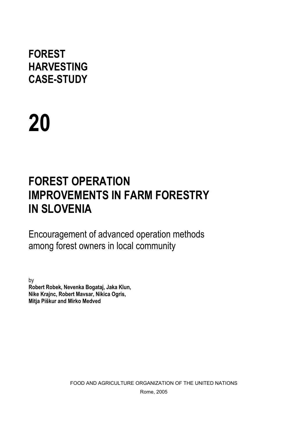# **FOREST HARVESTING CASE-STUDY**

# **20**

# **FOREST OPERATION IMPROVEMENTS IN FARM FORESTRY IN SLOVENIA**

Encouragement of advanced operation methods among forest owners in local community

by **Robert Robek, Nevenka Bogataj, Jaka Klun, Nike Krajnc, Robert Mavsar, Nikica Ogris, Mitja Piškur and Mirko Medved** 

> FOOD AND AGRICULTURE ORGANIZATION OF THE UNITED NATIONS Rome, 2005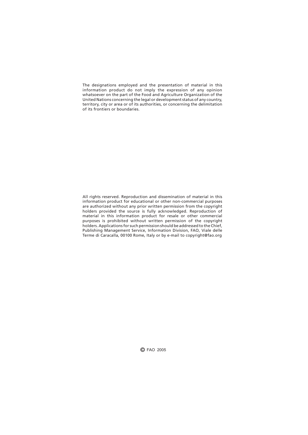The designations employed and the presentation of material in this information product do not imply the expression of any opinion Whatsoever on the part of the Food and Agriculture Organization of the United Nations concerning the legal or development status of any country, territory, city or area or of its authorities, or concerning the delimitation of its frontiers or boundaries.

All rights reserved. Reproduction and dissemination of material in this information product for educational or other non-commercial purposes are authorized without any prior written permission from the copyright holders provided the source is fully acknowledged. Reproduction of material in this information product for resale or other commercial purposes is prohibited without written permission of the copyright holders. Applications for such permission should be addressed to the Chief, Publishing Management Service, Information Division, FAO, Viale delle Terme di Caracalla, 00100 Rome, Italy or by e-mail to copyright@fao.org

C FAO 2005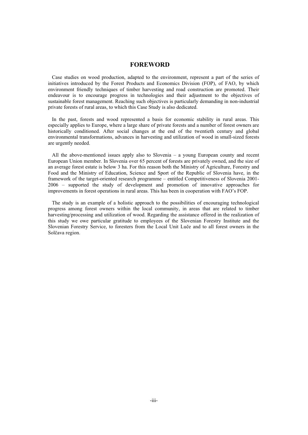#### **FOREWORD**

Case studies on wood production, adapted to the environment, represent a part of the series of initiatives introduced by the Forest Products and Economics Division (FOP), of FAO, by which environment friendly techniques of timber harvesting and road construction are promoted. Their endeavour is to encourage progress in technologies and their adjustment to the objectives of sustainable forest management. Reaching such objectives is particularly demanding in non-industrial private forests of rural areas, to which this Case Study is also dedicated.

In the past, forests and wood represented a basis for economic stability in rural areas. This especially applies to Europe, where a large share of private forests and a number of forest owners are historically conditioned. After social changes at the end of the twentieth century and global environmental transformations, advances in harvesting and utilization of wood in small-sized forests are urgently needed.

All the above-mentioned issues apply also to Slovenia – a young European county and recent European Union member. In Slovenia over 65 percent of forests are privately owned, and the size of an average forest estate is below 3 ha. For this reason both the Ministry of Agriculture, Forestry and Food and the Ministry of Education, Science and Sport of the Republic of Slovenia have, in the framework of the target-oriented research programme – entitled Competitiveness of Slovenia 2001- 2006 – supported the study of development and promotion of innovative approaches for improvements in forest operations in rural areas. This has been in cooperation with FAO's FOP.

The study is an example of a holistic approach to the possibilities of encouraging technological progress among forest owners within the local community, in areas that are related to timber harvesting/processing and utilization of wood. Regarding the assistance offered in the realization of this study we owe particular gratitude to employees of the Slovenian Forestry Institute and the Slovenian Forestry Service, to foresters from the Local Unit Luče and to all forest owners in the Solčava region.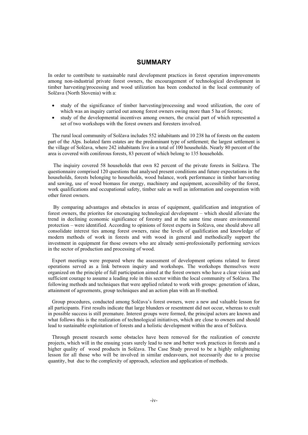# **SUMMARY**

In order to contribute to sustainable rural development practices in forest operation improvements among non-industrial private forest owners, the encouragement of technological development in timber harvesting/processing and wood utilization has been conducted in the local community of Solčava (North Slovenia) with a:

- study of the significance of timber harvesting/processing and wood utilization, the core of which was an inquiry carried out among forest owners owing more than 5 ha of forests;
- study of the developmental incentives among owners, the crucial part of which represented a set of two workshops with the forest owners and foresters involved.

The rural local community of Solčava includes 552 inhabitants and 10 238 ha of forests on the eastern part of the Alps. Isolated farm estates are the predominant type of settlement; the largest settlement is the village of Solčava, where 242 inhabitants live in a total of 100 households. Nearly 80 percent of the area is covered with coniferous forests, 83 percent of which belong to 135 households.

The inqiuiry covered 58 households that own 82 percent of the private forests in Solčava. The questionnaire comprised 120 questions that analysed present conditions and future expectations in the households, forests belonging to households, wood balance, work performance in timber harvesting and sawing, use of wood biomass for energy, machinery and equipment, accessibility of the forest, work qualifications and occupational safety, timber sale as well as information and cooperation with other forest owners.

 By comparing advantages and obstacles in areas of equipment, qualification and integration of forest owners, the priorites for encouraging technological development – which should alleviate the trend in declining economic significance of forestry and at the same time ensure environmental protection – were identified. According to opinions of forest experts in Solčava, one should above all consolidate interest ties among forest owners, raise the levels of qualification and knowledge of modern methods of work in forests and with wood in general and methodically support the investment in equipment for those owners who are already semi-professionally performing services in the sector of production and processing of wood.

Expert meetings were prepared where the assessment of development options related to forest operations served as a link between inquiry and workshops. The workshops themselves were organized on the principle of full participation aimed at the forest owners who have a clear vision and sufficient courage to assume a leading role in this sector within the local community of Solčava. The following methods and techniques that were applied related to work with groups: generation of ideas, attainment of agreements, group techniques and an action plan with an H-method.

Group procedures, conducted among Solčava's forest owners, were a new and valuable lesson for all participants. First results indicate that large blunders or resentment did not occur, whereas to exult in possible success is still premature. Interest groups were formed, the principal actors are known and what follows this is the realization of technological initiatives, which are close to owners and should lead to sustainable exploitation of forests and a holistic development within the area of Solčava.

Through present research some obstacles have been removed for the realization of concrete projects, which will in the ensuing years surely lead to new and better work practices in forests and a higher quality of wood products in Solčava. The Case Study proved to be a highly enlightening lesson for all those who will be involved in similar endeavours, not necessarily due to a precise quantity, but due to the complexity of approach, selection and application of methods.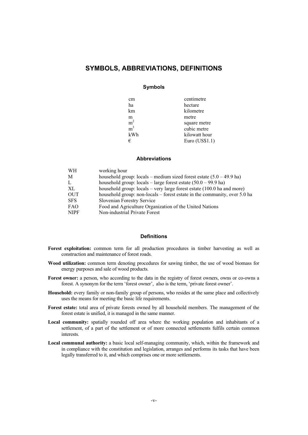# **SYMBOLS, ABBREVIATIONS, DEFINITIONS**

#### **Symbols**

| cm             | centimetre     |
|----------------|----------------|
| ha             | hectare        |
| km             | kilometre      |
| m              | metre          |
| m <sup>2</sup> | square metre   |
| m <sup>3</sup> | cubic metre    |
| kWh            | kilowatt hour  |
| €              | Euro (US\$1.1) |

#### **Abbreviations**

| <b>WH</b>   | working hour                                                                   |
|-------------|--------------------------------------------------------------------------------|
| М           | household group: locals – medium sized forest estate $(5.0 - 49.9$ ha)         |
| L           | household group: $\text{locals} - \text{large forest estate}$ (50.0 – 99.9 ha) |
| XL          | household group: $locals - very large forest estate (100.0 ha and more)$       |
| <b>OUT</b>  | household group: non-locals – forest estate in the community, over 5.0 ha      |
| <b>SFS</b>  | Slovenian Forestry Service                                                     |
| <b>FAO</b>  | Food and Agriculture Organization of the United Nations                        |
| <b>NIPF</b> | Non-industrial Private Forest                                                  |

#### **Definitions**

- **Forest exploitation:** common term for all production procedures in timber harvesting as well as construction and maintenance of forest roads.
- **Wood utilization:** common term denoting procedures for sawing timber, the use of wood biomass for energy purposes and sale of wood products.
- **Forest owner:** a person, who according to the data in the registry of forest owners, owns or co-owns a forest. A synonym for the term 'forest owner', also is the term, 'private forest owner'.
- **Household:** every family or non-family group of persons, who resides at the same place and collectively uses the means for meeting the basic life requirements.
- **Forest estate:** total area of private forests owned by all household members. The management of the forest estate is unified, it is managed in the same manner.
- **Local community:** spatially rounded off area where the working population and inhabitants of a settlement, of a part of the settlement or of more connected settlements fulfils certain common interests.
- **Local communal authority:** a basic local self-managing community, which, within the framework and in compliance with the constitution and legislation, arranges and performs its tasks that have been legally transferred to it, and which comprises one or more settlements.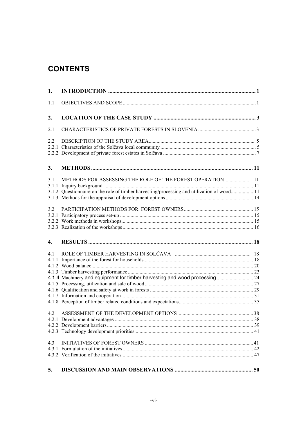# **CONTENTS**

| 1.         |                                                                                                                                                         |  |
|------------|---------------------------------------------------------------------------------------------------------------------------------------------------------|--|
| 1.1        |                                                                                                                                                         |  |
| 2.         |                                                                                                                                                         |  |
| 2.1        |                                                                                                                                                         |  |
| 2.2        |                                                                                                                                                         |  |
| 3.         |                                                                                                                                                         |  |
| 3.1        | METHODS FOR ASSESSING THE ROLE OF THE FOREST OPERATION 11<br>3.1.2 Questionnaire on the role of timber harvesting/processing and utilization of wood 11 |  |
| 3.2        |                                                                                                                                                         |  |
| 4.         |                                                                                                                                                         |  |
| 4.1<br>4.2 | 4.1.4 Machinery and equipment for timber harvesting and wood processing 24                                                                              |  |
| 4.3        |                                                                                                                                                         |  |
| 5.         |                                                                                                                                                         |  |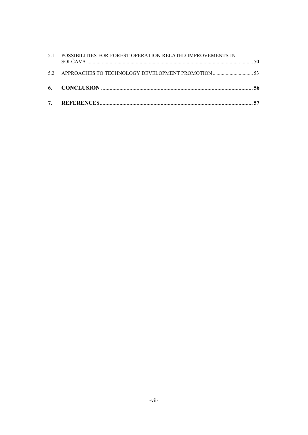| 53. APPROACHES TO TECHNOLOGY DEVELOPMENT PROMOTION 53          |  |
|----------------------------------------------------------------|--|
| 5.1 POSSIBILITIES FOR FOREST OPERATION RELATED IMPROVEMENTS IN |  |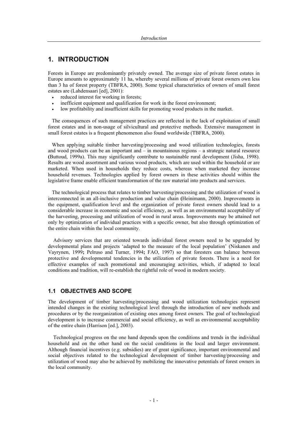# **1. INTRODUCTION**

Forests in Europe are predominantly privately owned. The average size of private forest estates in Europe amounts to approximately 11 ha, whereby several millions of private forest owners own less than 3 ha of forest property (TBFRA, 2000). Some typical characteristics of owners of small forest estates are (Lahdensaari [ed], 2001):

- reduced interest for working in forests;
- inefficient equipment and qualification for work in the forest environment;
- low profitability and insufficient skills for promoting wood products in the market.

The consequences of such management practices are reflected in the lack of exploitation of small forest estates and in non-usage of silvicultural and protective methods. Extensive management in small forest estates is a frequent phenomenon also found worldwide (TBFRA, 2000).

When applying suitable timber harvesting/processing and wood utilization technologies, forests and wood products can be an important and – in mountainous regions – a strategic natural resource **(**Buttoud, 1999a). This may significantly contribute to sustainable rural development (Jisha, 1998). Results are wood assortment and various wood products, which are used within the household or are marketed. When used in households they reduce costs, whereas when marketed they increase household revenues. Technologies applied by forest owners in these activities should within the legislative frame enable efficient transformation of the raw material into products and services.

The technological process that relates to timber harvesting/processing and the utilization of wood is interconnected in an all-inclusive production and value chain **(**Heinimann, 2000). Improvements in the equipment, qualification level and the organization of private forest owners should lead to a considerable increase in economic and social efficiency, as well as an environmental acceptability of the harvesting, processing and utilization of wood in rural areas. Improvements may be attained not only by optimization of individual practices with a specific owner, but also through optimization of the entire chain within the local community.

 Advisory services that are oriented towards individual forest owners need to be upgraded by developmental plans and projects 'adapted to the measure of the local population' (Niskanen and Vayrynen, 1999**;** Pelruso and Turner, 1994**;** FAO, 1997) so that foresters can balance between protective and developmental tendencies in the utilization of private forests. There is a need for effective examples of such promotional and encouraging activities, which, if adapted to local conditions and tradition, will re-establish the rightful role of wood in modern society.

# **1.1 OBJECTIVES AND SCOPE**

The development of timber harvesting/processing and wood utilization technologies represent intended changes in the existing technological level through the introduction of new methods and procedures or by the reorganization of existing ones among forest owners. The goal of technological development is to increase commercial and social efficiency, as well as environmental acceptability of the entire chain (Harrison [ed.], 2003).

 Technological progress on the one hand depends upon the conditions and trends in the individual household and on the other hand on the social conditions in the local and larger environment. Although financial incentives (e.g. subsidies) are of great significance, important environmental and social objectives related to the technological development of timber harvesting/processing and utilization of wood may also be achieved by mobilizing the innovative potentials of forest owners in the local community.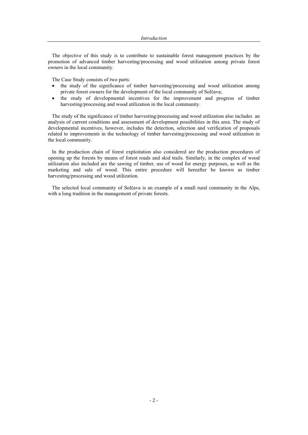The objective of this study is to contribute to sustainable forest management practices by the promotion of advanced timber harvesting/processing and wood utilization among private forest owners in the local community.

The Case Study consists of two parts:

- the study of the significance of timber harvesting/processing and wood utilization among private forest owners for the development of the local community of Solčava;
- the study of developmental incentives for the improvement and progress of timber harvesting/processing and wood utilization in the local community.

The study of the significance of timber harvesting/processing and wood utilization also includes an analysis of current conditions and assessment of development possibilities in this area. The study of developmental incentives, however, includes the detection, selection and verification of proposals related to improvements in the technology of timber harvesting/processing and wood utilization in the local community.

In the production chain of forest exploitation also considered are the production procedures of opening up the forests by means of forest roads and skid trails. Similarly, in the complex of wood utilization also included are the sawing of timber, use of wood for energy purposes, as well as the marketing and sale of wood. This entire procedure will hereafter be known as timber harvesting/processing and wood utilization.

The selected local community of Solčava is an example of a small rural community in the Alps, with a long tradition in the management of private forests.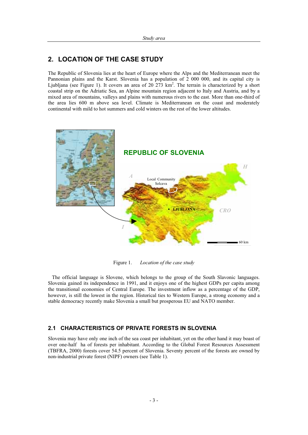# **2. LOCATION OF THE CASE STUDY**

The Republic of Slovenia lies at the heart of Europe where the Alps and the Mediterranean meet the Pannonian plains and the Karst. Slovenia has a population of 2 000 000, and its capital city is Ljubljana (see Figure 1). It covers an area of 20  $273 \text{ km}^2$ . The terrain is characterized by a short coastal strip on the Adriatic Sea, an Alpine mountain region adjacent to Italy and Austria, and by a mixed area of mountains, valleys and plains with numerous rivers to the east. More than one-third of the area lies 600 m above sea level. Climate is Mediterranean on the coast and moderately continental with mild to hot summers and cold winters on the rest of the lower altitudes.



Figure 1. *Location of the case study* 

The official language is Slovene, which belongs to the group of the South Slavonic languages. Slovenia gained its independence in 1991, and it enjoys one of the highest GDPs per capita among the transitional economies of Central Europe. The investment inflow as a percentage of the GDP, however, is still the lowest in the region. Historical ties to Western Europe, a strong economy and a stable democracy recently make Slovenia a small but prosperous EU and NATO member.

# **2.1 CHARACTERISTICS OF PRIVATE FORESTS IN SLOVENIA**

Slovenia may have only one inch of the sea coast per inhabitant, yet on the other hand it may boast of over one-half ha of forests per inhabitant. According to the Global Forest Resources Assessment (TBFRA, 2000) forests cover 54.5 percent of Slovenia. Seventy percent of the forests are owned by non-industrial private forest (NIPF) owners (see Table 1).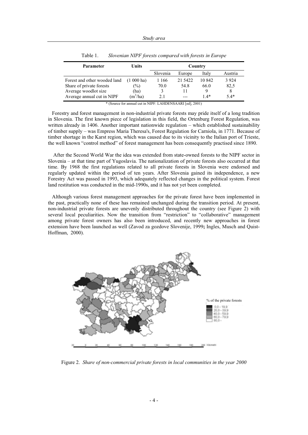| <b>Parameter</b>             | Units          | Country  |         |        |         |
|------------------------------|----------------|----------|---------|--------|---------|
|                              |                | Slovenia | Europe  | Italy  | Austria |
| Forest and other wooded land | $(1\ 000$ ha)  | 1 1 6 6  | 21 5422 | 10.842 | 3 9 2 4 |
| Share of private forests     | $\frac{1}{2}$  | 70.0     | 54.8    | 66.0   | 82,5    |
| Average woodlot size         | (ha)           |          |         |        |         |
| Average annual cut in NIPF   | $\rm (m^3/ha)$ | 2.1      | $---$   | 14*    | $5.4*$  |

Table 1. *Slovenian NIPF forests compared with forests in Europe* 

\* (Source for annual cut in NIPF: LAHDENSAARI [ed], 2001)

Forestry and forest management in non-industrial private forests may pride itself of a long tradition in Slovenia. The first known piece of legislation in this field, the Ortenburg Forest Regulation, was written already in 1406. Another important nationwide regulation – which established sustainability of timber supply – was Empress Maria Theresa's, Forest Regulation for Carniola, in 1771. Because of timber shortage in the Karst region, which was caused due to its vicinity to the Italian port of Trieste, the well known "control method" of forest management has been consequently practised since 1890.

 After the Second World War the idea was extended from state-owned forests to the NIPF sector in Slovenia – at that time part of Yugoslavia. The nationalization of private forests also occurred at that time. By 1968 the first regulations related to all private forests in Slovenia were endorsed and regularly updated within the period of ten years. After Slovenia gained its independence, a new Forestry Act was passed in 1993, which adequately reflected changes in the political system. Forest land restitution was conducted in the mid-1990s, and it has not yet been completed.

Although various forest management approaches for the private forest have been implemented in the past, practically none of these has remained unchanged during the transition period. At present, non-industrial private forests are unevenly distributed throughout the country (see Figure 2) with several local peculiarities. Now the transition from "restriction" to "collaborative" management among private forest owners has also been introduced, and recently new approaches in forest extension have been launched as well (Zavod za gozdove Slovenije, 1999**;** Ingles, Musch and Quist-Hoffman, 2000).



Figure 2. *Share of non-commercial private forests in local communities in the year 2000*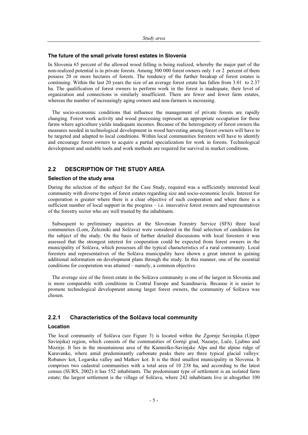#### **The future of the small private forest estates in Slovenia**

In Slovenia 65 percent of the allowed wood felling is being realized, whereby the major part of the non-realized potential is in private forests. Among 300 000 forest owners only 1 or 2 percent of them possess 20 or more hectares of forests. The tendency of the further breakup of forest estates is continuing. Within the last 20 years the size of an average forest estate has fallen from 3.01 to 2.37 ha. The qualification of forest owners to perform work in the forest is inadequate, their level of organization and connections is similarly insufficient. There are fewer and fewer farm estates, whereas the number of increasingly aging owners and non-farmers is increasing.

The socio-economic conditions that influence the management of private forests are rapidly changing. Forest work activity and wood processing represent an appropriate occupation for those farms where agriculture yields inadequate incomes. Because of the heterogeneity of forest owners the measures needed in technological development in wood harvesting among forest owners will have to be targeted and adapted to local conditions. Within local communities foresters will have to identify and encourage forest owners to acquire a partial specialization for work in forests. Technological development and suitable tools and work methods are required for survival in market conditions.

# **2.2 DESCRIPTION OF THE STUDY AREA**

#### **Selection of the study area**

During the selection of the subject for the Case Study, required was a sufficiently interested local community with diverse types of forest estates regarding size and socio-economic levels. Interest for cooperation is greater where there is a clear objective of such cooperation and where there is a sufficient number of local support in the progress – i.e. innovative forest owners and representatives of the forestry sector who are well trusted by the inhabitants.

Subsequent to preliminary inquiries at the Slovenian Forestry Service (SFS) three local communities (Lom, Železniki and Solčava) were considered in the final selection of candidates for the subject of the study. On the basis of further detailed discussions with local foresters it was assessed that the strongest interest for cooperation could be expected from forest owners in the municipality of Solčava, which possesses all the typical characteristics of a rural community. Local foresters and representatives of the Solčava municipality have shown a great interest in gaining additional information on development plans through the study. In this manner, one of the essential conditions for cooperation was attained – namely, a common objective.

The average size of the forest estate in the Solčava community is one of the largest in Slovenia and is more comparable with conditions in Central Europe and Scandinavia. Because it is easier to promote technological development among larger forest owners, the community of Solčava was chosen.

#### **2.2.1 Characteristics of the Solþava local community**

#### **Location**

The local community of Solčava (see Figure 3) is located within the Zgornje Savinjska (Upper Savinjska) region, which consists of the communities of Gornji grad, Nazarje, Luče, Ljubno and Mozirje. It lies in the mountainous area of the Kamniško-Savinjske Alps and the alpine ridge of Karavanke, where amid predominantly carbonate peaks there are three typical glacial valleys: Robanov kot, Logarska valley and Matkov kot. It is the third smallest municipality in Slovenia. It comprises two cadastral communities with a total area of 10 238 ha, and according to the latest census (SURS, 2002) it has 552 inhabitants. The predominant type of settlement is an isolated farm estate; the largest settlement is the village of Solčava, where 242 inhabitants live in altogether 100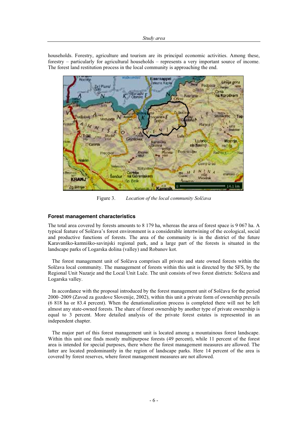households. Forestry, agriculture and tourism are its principal economic activities. Among these, forestry – particularly for agricultural households – represents a very important source of income. The forest land restitution process in the local community is approaching the end.



Figure 3. *Location of the local community Solčava* 

#### **Forest management characteristics**

The total area covered by forests amounts to 8 179 ha, whereas the area of forest space is 9 067 ha. A typical feature of Solčava's forest environment is a considerable intertwining of the ecological, social and productive functions of forests. The area of the community is in the district of the future Karavanško-kamniško-savinjski regional park, and a large part of the forests is situated in the landscape parks of Logarska dolina (valley) and Robanov kot.

The forest management unit of Solčava comprises all private and state owned forests within the Solčava local community. The management of forests within this unit is directed by the SFS, by the Regional Unit Nazarje and the Local Unit Luče. The unit consists of two forest districts: Solčava and Logarska valley.

In accordance with the proposal introduced by the forest management unit of Solčava for the period 2000–2009 (Zavod za gozdove Slovenije, 2002), within this unit a private form of ownership prevails (6 818 ha or 83.4 percent). When the denationalization process is completed there will not be left almost any state-owned forests. The share of forest ownership by another type of private ownership is equal to 3 percent. More detailed analysis of the private forest estates is represented in an independent chapter.

The major part of this forest management unit is located among a mountainous forest landscape. Within this unit one finds mostly multipurpose forests (49 percent), while 11 percent of the forest area is intended for special purposes, there where the forest management measures are allowed. The latter are located predominantly in the region of landscape parks. Here 14 percent of the area is covered by forest reserves, where forest management measures are not allowed.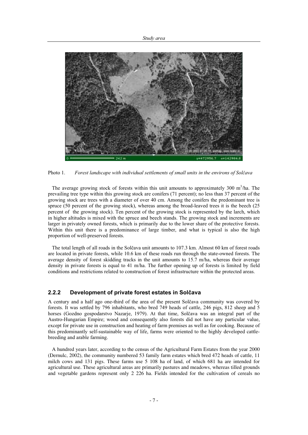

Photo 1. *Forest landscape with individual settlements of small units in the environs of Solþava* 

The average growing stock of forests within this unit amounts to approximately 300  $m^3/ha$ . The prevailing tree type within this growing stock are conifers (71 percent); no less than 37 percent of the growing stock are trees with a diameter of over 40 cm. Among the conifers the predominant tree is spruce (50 percent of the growing stock), whereas among the broad-leaved trees it is the beech (25 percent of the growing stock). Ten percent of the growing stock is represented by the larch, which in higher altitudes is mixed with the spruce and beech stands. The growing stock and increments are larger in privately owned forests, which is primarily due to the lower share of the protective forests. Within this unit there is a predominance of large timber, and what is typical is also the high proportion of well-preserved forests.

The total length of all roads in the Solčava unit amounts to  $107.3$  km. Almost 60 km of forest roads are located in private forests, while 10.6 km of these roads run through the state-owned forests. The average density of forest skidding tracks in the unit amounts to 15.7 m/ha, whereas their average density in private forests is equal to 41 m/ha. The further opening up of forests is limited by field conditions and restrictions related to construction of forest infrastructure within the protected areas.

# **2.2.2 Development of private forest estates in Solþava**

A century and a half ago one-third of the area of the present Solčava community was covered by forests. It was settled by 796 inhabitants, who bred 749 heads of cattle, 246 pigs, 812 sheep and 5 horses (Gozdno gospodarstvo Nazarje, 1979). At that time, Solčava was an integral part of the Austro-Hungarian Empire; wood and consequently also forests did not have any particular value, except for private use in construction and heating of farm premises as well as for cooking. Because of this predominantly self-sustainable way of life, farms were oriented to the highly developed cattlebreeding and arable farming.

A hundred years later, according to the census of the Agricultural Farm Estates from the year 2000 (Dernulc, 2002), the community numbered 53 family farm estates which bred 472 heads of cattle, 11 milch cows and 131 pigs. These farms use 5 108 ha of land, of which 681 ha are intended for agricultural use. These agricultural areas are primarily pastures and meadows, whereas tilled grounds and vegetable gardens represent only 2 226 ha. Fields intended for the cultivation of cereals no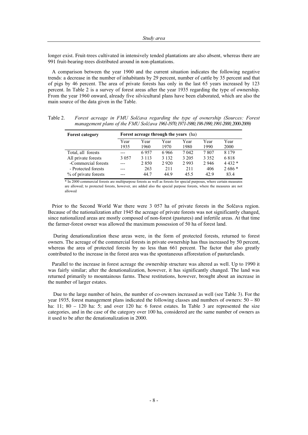longer exist. Fruit-trees cultivated in intensively tended plantations are also absent, whereas there are 991 fruit-bearing-trees distributed around in non-plantations.

A comparison between the year 1900 and the current situation indicates the following negative trends: a decrease in the number of inhabitants by 29 percent, number of cattle by 35 percent and that of pigs by 46 percent. The area of private forests has only in the last 65 years increased by 123 percent. In Table 2 is a survey of forest areas after the year 1935 regarding the type of ownership. From the year 1960 onward, already five silvicultural plans have been elaborated, which are also the main source of the data given in the Table.

| Table 2. | Forest acreage in FMU Solčava regarding the type of ownership (Sources: Forest            |
|----------|-------------------------------------------------------------------------------------------|
|          | management plans of the FMU Solčava 1961-1970, 1971-1980, 198-1990, 1991-2000, 2000-2009) |

| <b>Forest category</b> | Forest acreage through the years (ha) |         |         |         |         |         |  |
|------------------------|---------------------------------------|---------|---------|---------|---------|---------|--|
|                        | Year                                  | Year    | Year    | Year    | Year    | Year    |  |
|                        | 1935                                  | 1960    | 1970    | 1980    | 1990    | 2000    |  |
| Total, all forests     | ---                                   | 6957    | 6966    | 7042    | 7807    | 8 1 7 9 |  |
| All private forests    | 3 0 5 7                               | 3 1 1 3 | 3 1 3 2 | 3 2 0 5 | 3 3 5 2 | 6818    |  |
| -Commercial forests    |                                       | 2850    | 2920    | 2993    | 2946    | $4432*$ |  |
| - Protected forests    | ---                                   | 263     | 211     | 2.11    | 406     | 2686 *  |  |
| % of private forests   | ---                                   | 44.7    | 44.9    | 45.5    | 42.9    | 83.4    |  |

\* In 2000 commercial forests are multipurpose forests as well as forests for special purposes, where certain measures are allowed; to protected forests, however, are added also the special purpose forests, where the measures are not allowed

Prior to the Second World War there were 3 057 ha of private forests in the Solčava region. Because of the nationalization after 1945 the acreage of private forests was not significantly changed, since nationalized areas are mostly composed of non-forest (pastures) and infertile areas. At that time the farmer-forest owner was allowed the maximum possession of 50 ha of forest land.

 During denationalization these areas were, in the form of protected forests, returned to forest owners. The acreage of the commercial forests in private ownership has thus increased by 50 percent, whereas the area of protected forests by no less than 661 percent. The factor that also greatly contributed to the increase in the forest area was the spontaneous afforestation of pasturelands.

Parallel to the increase in forest acreage the ownership structure was altered as well. Up to 1990 it was fairly similar; after the denationalization, however, it has significantly changed. The land was returned primarily to mountainous farms. These restitutions, however, brought about an increase in the number of larger estates.

 Due to the large number of heirs, the number of co-owners increased as well (see Table 3). For the year 1935, forest management plans indicated the following classes and numbers of owners: 50 – 80 ha: 11; 80 – 120 ha: 5; and over 120 ha: 6 forest estates. In Table 3 are represented the size categories, and in the case of the category over 100 ha, considered are the same number of owners as it used to be after the denationalization in 2000.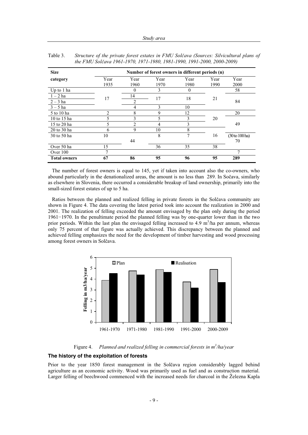| <b>Size</b>         | Number of forest owners in different periods (n) |                |      |          |      |                   |
|---------------------|--------------------------------------------------|----------------|------|----------|------|-------------------|
| category            | Year                                             | Year           | Year | Year     | Year | Year              |
|                     | 1935                                             | 1960           | 1970 | 1980     | 1990 | 2000              |
| Up to 1 ha          |                                                  | $\theta$       | 3    | $\theta$ |      | 58                |
| $1-2$ ha            | 17                                               | 14             | 17   | 18       | 21   |                   |
| $2-3$ ha            |                                                  | 2              |      |          |      | 84                |
| $3 - 5$ ha          |                                                  | 4              | 3    | 10       |      |                   |
| 5 to 10 ha          | $\overline{2}$                                   | 8              | 9    | 12       |      | 20                |
| 10 to 15 ha         |                                                  | 3              | 5    | 3        | 20   |                   |
| 15 to 20 ha         |                                                  | $\mathfrak{D}$ | 4    | 3        |      | 49                |
| 20 to 30 ha         | 6                                                | 9              | 10   | 8        |      |                   |
| 30 to 50 ha         | 10                                               |                | 8    | 7        | 16   | $(30 to 100)$ ha) |
|                     |                                                  | 44             |      |          |      | 70                |
| Over 50 ha          | 15                                               |                | 36   | 35       | 38   |                   |
| Over 100            | ┑                                                |                |      |          |      | $\mathcal{L}$     |
| <b>Total owners</b> | 67                                               | 86             | 95   | 96       | 95   | 289               |

Table 3. *Structure of the private forest estates in FMU Solþava (Sources: Silvicultural plans of the FMU Solþava 1961-1970, 1971-1980, 1981-1990, 1991-2000, 2000-2009)* 

The number of forest owners is equal to 145, yet if taken into account also the co-owners, who abound particularly in the denationalized areas, the amount is no less than 289. In Sočava, similarly as elsewhere in Slovenia, there occurred a considerable breakup of land ownership, primarily into the small-sized forest estates of up to 5 ha.

Ratios between the planned and realized felling in private forests in the Solčava community are shown in Figure 4. The data covering the latest period took into account the realization in 2000 and 2001. The realization of felling exceeded the amount envisaged by the plan only during the period  $1961-1970$ . In the penultimate period the planned felling was by one-quarter lower than in the two prior periods. Within the last plan the envisaged felling increased to 4.9  $m^3/ha$  per annum, whereas only 75 percent of that figure was actually achieved. This discrepancy between the planned and achieved felling emphasizes the need for the development of timber harvesting and wood processing among forest owners in Solčava.



Figure 4. *Planned and realized felling in commercial forests in m<sup>3</sup> /ha/year* 

#### **The history of the exploitation of forests**

Prior to the year 1850 forest management in the Solčava region considerably lagged behind agriculture as an economic activity. Wood was primarily used as fuel and as construction material. Larger felling of beechwood commenced with the increased needs for charcoal in the Železna Kapla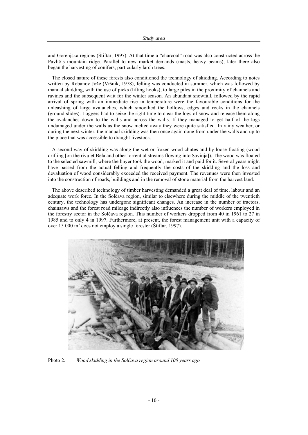and Gorenjska regions (Štiftar, 1997). At that time a "charcoal" road was also constructed across the Pavlič's mountain ridge. Parallel to new market demands (masts, heavy beams), later there also began the harvesting of conifers, particularly larch trees.

The closed nature of these forests also conditioned the technology of skidding. According to notes written by Robanov Jože (Vršnik, 1978), felling was conducted in summer, which was followed by manual skidding, with the use of picks (lifting hooks), to large piles in the proximity of channels and ravines and the subsequent wait for the winter season. An abundant snowfall, followed by the rapid arrival of spring with an immediate rise in temperature were the favourable conditions for the unleashing of large avalanches, which smoothed the hollows, edges and rocks in the channels (ground slides). Loggers had to seize the right time to clear the logs of snow and release them along the avalanches down to the walls and across the walls. If they managed to get half of the logs undamaged under the walls as the snow melted away they were quite satisfied. In rainy weather, or during the next winter, the manual skidding was then once again done from under the walls and up to the place that was accessible to draught livestock.

A second way of skidding was along the wet or frozen wood chutes and by loose floating (wood drifting [on the rivulet Bela and other torrential streams flowing into Savinja]). The wood was floated to the selected sawmill, where the buyer took the wood, marked it and paid for it. Several years might have passed from the actual felling and frequently the costs of the skidding and the loss and devaluation of wood considerably exceeded the received payment. The revenues were then invested into the construction of roads, buildings and in the removal of stone material from the harvest land.

The above described technology of timber harvesting demanded a great deal of time, labour and an adequate work force. In the Solčava region, similar to elsewhere during the middle of the twentieth century, the technology has undergone significant changes. An increase in the number of tractors, chainsaws and the forest road mileage indirectly also influences the number of workers employed in the forestry sector in the Solčava region. This number of workers dropped from 40 in 1961 to 27 in 1985 and to only 4 in 1997. Furthermore, at present, the forest management unit with a capacity of over 15 000 m<sup>3</sup> does not employ a single forester (Štiftar, 1997).



Photo 2. *Wood skidding in the Solþava region around 100 years ago*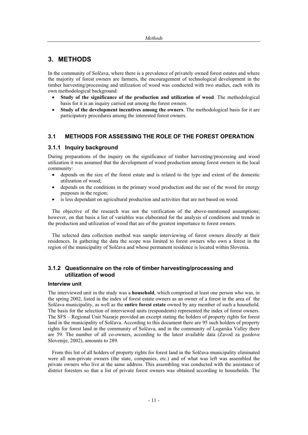# **3. METHODS**

In the community of Solčava, where there is a prevalence of privately owned forest estates and where the majority of forest owners are farmers, the encouragement of technological development in the timber harvesting/processing and utilization of wood was conducted with two studies, each with its own methodological background:

- x **Study of the significance of the production and utilization of wood**. The methodological basis for it is an inquiry carried out among the forest owners.
- x **Study of the development incentives among the owners**. The methodological basis for it are participatory procedures among the interested forest owners.

# **3.1 METHODS FOR ASSESSING THE ROLE OF THE FOREST OPERATION**

#### **3.1.1 Inquiry background**

During preparations of the inquiry on the significance of timber harvesting/processing and wood utilization it was assumed that the development of wood production among forest owners in the local community:

- depends on the size of the forest estate and is related to the type and extent of the domestic utilization of wood;
- depends on the conditions in the primary wood production and the use of the wood for energy purposes in the region;
- is less dependant on agricultural production and activities that are not based on wood.

The objective of the research was not the verification of the above-mentioned assumptions; however, on that basis a list of variables was elaborated for the analysis of conditions and trends in the production and utilization of wood that are of the greatest importance to forest owners.

The selected data collection method was sample interviewing of forest owners directly at their residences. In gathering the data the scope was limited to forest owners who own a forest in the region of the municipality of Solčava and whose permanent residence is located within Slovenia.

# **3.1.2 Questionnaire on the role of timber harvesting/processing and utilization of wood**

#### **Interview unit**

The interviewed unit in the study was a **household**, which comprised at least one person who was, in the spring 2002, listed in the index of forest estate owners as an owner of a forest in the area of the Solčava municipality, as well as the **entire forest estate** owned by any member of such a household. The basis for the selection of interviewed units (respondents) represented the index of forest owners. The SFS – Regional Unit Nazarje provided an excerpt stating the holders of property rights for forest land in the municipality of Solčava. According to this document there are 95 such holders of property rights for forest land in the community of Solčava, and in the community of Logarska Valley there are 59. The number of all co-owners, according to the latest available data (Zavod za gozdove Slovenije, 2002), amounts to 289.

From this list of all holders of property rights for forest land in the Solčava municipality eliminated were all non-private owners (the state, companies, etc.) and of what was left was assembled the private owners who live at the same address. This assembling was conducted with the assistance of district foresters so that a list of private forest owners was obtained according to households. The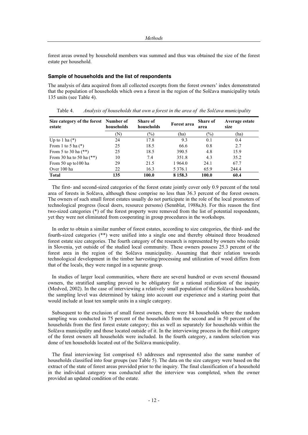forest areas owned by household members was summed and thus was obtained the size of the forest estate per household.

#### **Sample of households and the list of respondents**

The analysis of data acquired from all collected excerpts from the forest owners' index demonstrated that the population of households which own a forest in the region of the Solčava municipality totals 135 units (see Table 4).

| Size category of the forest Number of<br>estate | households | <b>Share of</b><br>households | Forest area | <b>Share of</b><br>area | Average estate<br>size |
|-------------------------------------------------|------------|-------------------------------|-------------|-------------------------|------------------------|
|                                                 | (N)        | $(\%)$                        | (ha)        | $(\%)$                  | (ha)                   |
| Up to 1 ha $(*)$                                | 24         | 17.8                          | 9.3         | 0.1                     | 0.4                    |
| From 1 to 5 ha $(*)$                            | 25         | 18.5                          | 66.6        | 0.8                     | 2.7                    |
| From 5 to 30 ha $(**)$                          | 25         | 18.5                          | 390.5       | 4.8                     | 15.9                   |
| From 30 ha to 50 ha $(**)$                      | 10         | 7.4                           | 351.8       | 4.3                     | 35.2                   |
| From 50 up to 100 ha                            | 29         | 21.5                          | 1 964.0     | 24.1                    | 67.7                   |
| Over 100 ha                                     | 22         | 16.3                          | 5 3 7 6 .1  | 65.9                    | 244.4                  |
| <b>Total</b>                                    | 135        | 100.0                         | 8 1 5 8 . 3 | 100.0                   | 60.4                   |

Table 4. *Analysis of households that own a forest in the area of the Solþava municipality* 

The first- and second-sized categories of the forest estate jointly cover only 0.9 percent of the total area of forests in Solčava, although these comprise no less than 36.3 percent of the forest owners. The owners of such small forest estates usually do not participate in the role of the local promoters of technological progress (local doers, resource persons) (Sennblat, 1988a,b). For this reason the first two-sized categories (\*) of the forest property were removed from the list of potential respondents, yet they were not eliminated from cooperating in group procedures in the workshops.

In order to obtain a similar number of forest estates, according to size categories, the third- and the fourth-sized categories (\*\*) were unified into a single one and thereby obtained three broadened forest estate size categories. The fourth category of the research is represented by owners who reside in Slovenia, yet outside of the studied local community. These owners possess 25.3 percent of the forest area in the region of the Solčava municipality. Assuming that their relation towards technological development in the timber harvesting/processing and utilization of wood differs from that of the locals, they were ranged in a separate group.

In studies of larger local communities, where there are several hundred or even several thousand owners, the stratified sampling proved to be obligatory for a rational realization of the inquiry (Medved, 2002). In the case of interviewing a relatively small population of the Solčava households, the sampling level was determined by taking into account our experience and a starting point that would include at least ten sample units in a single category.

Subsequent to the exclusion of small forest owners, there were 84 households where the random sampling was conducted in 75 percent of the households from the second and in 50 percent of the households from the first forest estate category; this as well as separately for households within the Solčava municipality and those located outside of it. In the interviewing process in the third category of the forest owners all households were included. In the fourth category, a random selection was done of ten households located out of the Solčava municipality.

The final interviewing list comprised 63 addresses and represented also the same number of households classified into four groups (see Table 5). The data on the size category were based on the extract of the state of forest areas provided prior to the inquiry. The final classification of a household in the individual category was conducted after the interview was completed, when the owner provided an updated condition of the estate.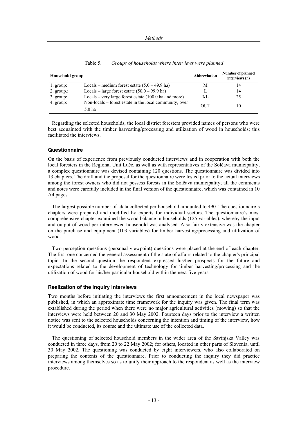| Household group |                                                                   | Abbreviation | Number of planned<br>interviews(n) |
|-----------------|-------------------------------------------------------------------|--------------|------------------------------------|
| l. group:       | Locals – medium forest estate $(5.0 - 49.9$ ha)                   | М            | 14                                 |
| 2. group.:      | Locals – large forest estate $(50.0 - 99.9$ ha)                   | L            | 14                                 |
| $3.$ group:     | Locals – very large forest estate $(100.0$ ha and more)           | XL           | 25                                 |
| 4. group:       | Non-locals – forest estate in the local community, over<br>5.0 ha | OUT          | 10                                 |

Table 5. *Groups of households where interviews were planned* 

Regarding the selected households, the local district foresters provided names of persons who were best acquainted with the timber harvesting/processing and utilization of wood in households; this facilitated the interviews.

#### **Questionnaire**

On the basis of experience from previously conducted interviews and in cooperation with both the local foresters in the Regional Unit Luče, as well as with representatives of the Solčava municipality, a complex questionnaire was devised containing 120 questions. The questionnaire was divided into 13 chapters. The draft and the proposal for the questionnaire were tested prior to the actual interviews among the forest owners who did not possess forests in the Solčava municipality; all the comments and notes were carefully included in the final version of the questionnaire, which was contained in 10 A4 pages.

The largest possible number of data collected per household amounted to 490. The questionnaire's chapters were prepared and modified by experts for individual sectors. The questionnaire's most comprehensive chapter examined the wood balance in households (125 variables), whereby the input and output of wood per interviewed household was analysed. Also fairly extensive was the chapter on the purchase and equipment (103 variables) for timber harvesting/processing and utilization of wood.

Two perception questions (personal viewpoint) questions were placed at the end of each chapter. The first one concerned the general assessment of the state of affairs related to the chapter's principal topic. In the second question the respondent expressed his/her prospects for the future and expectations related to the development of technology for timber harvesting/processing and the utilization of wood for his/her particular household within the next five years.

#### **Realization of the inquiry interviews**

Two months before initiating the interviews the first announcement in the local newspaper was published, in which an approximate time framework for the inquiry was given. The final term was extablished during the period when there were no major agricultural activities (mowing) so that the interviews were held between 20 and 30 May 2002. Fourteen days prior to the interview a written notice was sent to the selected households concerning the intention and timing of the interview, how it would be conducted, its course and the ultimate use of the collected data.

The questioning of selected household members in the wider area of the Savinjska Valley was conducted in three days, from 20 to 22 May 2002; for others, located in other parts of Slovenia, until 30 May 2002. The questioning was conducted by eight interviewers, who also collaborated on preparing the contents of the questionnaire. Prior to conducting the inquiry they did practice interviews among themselves so as to unify their approach to the respondent as well as the interview procedure.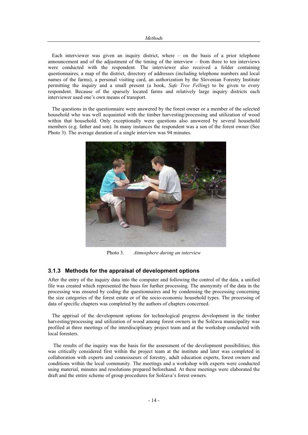Each interviewer was given an inquiry district, where – on the basis of a prior telephone announcement and of the adjustment of the timing of the interview – from three to ten interviews were conducted with the respondent. The interviewer also received a folder containing questionnaires, a map of the district, directory of addresses (including telephone numbers and local names of the farms), a personal visiting card, an authorization by the Slovenian Forestry Institute permitting the inquiry and a small present (a book, *Safe Tree Felling*) to be given to every respondent. Because of the sparsely located farms and relatively large inquiry districts each interviewer used one's own means of transport.

The questions in the questionnaire were answered by the forest owner or a member of the selected household who was well acquainted with the timber harvesting/processing and utilization of wood within that household. Only exceptionally were questions also answered by several household members (e.g. father and son). In many instances the respondent was a son of the forest owner (See Photo 3). The average duration of a single interview was 94 minutes.



Photo 3. *Atmosphere during an interview* 

#### **3.1.3 Methods for the appraisal of development options**

After the entry of the inquiry data into the computer and following the control of the data, a unified file was created which represented the basis for further processing. The anonymity of the data in the processing was ensured by coding the questionnaires and by condensing the processing concerning the size categories of the forest estate or of the socio-economic household types. The processing of data of specific chapters was completed by the authors of chapters concerned.

The apprisal of the development options for technological progress development in the timber harvesting/processing and utilization of wood among forest owners in the Solčava municipality was profiled at three meetings of the interdisciplinary project team and at the workshop conducted with local foresters.

 The results of the inquiry was the basis for the assessment of the development possibilities; this was critically considered first within the project team at the institute and later was completed in collaboration with experts and connoisseurs of forestry, adult education experts, forest owners and conditions within the local community. The meetings and a workshop with experts were conducted using material, minutes and resolutions prepared beforehand. At these meetings were elaborated the draft and the entire scheme of group procedures for Solčava's forest owners.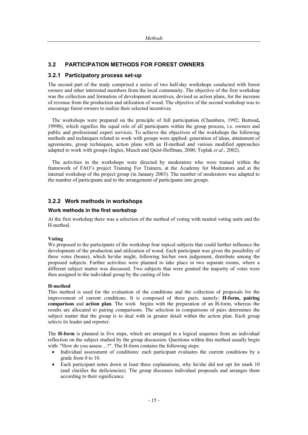# **3.2 PARTICIPATION METHODS FOR FOREST OWNERS**

# **3.2.1 Participatory process set-up**

The second part of the study comprised a series of two half-day workshops conducted with forest owners and other interested members from the local community. The objective of the first workshop was the collection and formation of development incentives, devised as action plans, for the increase of revenue from the production and utilization of wood. The objective of the second workshop was to encourage forest owners to realize their selected incentives.

The workshops were prepared on the principle of full participation (Chambers, 1992; Buttoud**,** 1999b), which signifies the equal role of all participants within the group process, i.e. owners and public and professional expert services. To achieve the objectives of the workshops the following methods and techniques related to work with groups were applied: generation of ideas, attainment of agreements, group techniques, action plans with an H-method and various modified approaches adapted to work with groups (Ingles, Musch and Quist-Hoffman, 2000; Toplak *et al.*, 2002).

The activities in the workshops were directed by moderators who were trained within the framework of FAO's project Training For Trainers, at the Academy for Moderators and at the internal workshop of the project group (in January 2003). The number of moderators was adapted to the number of participants and to the arrangement of participants into groups.

# **3.2.2 Work methods in workshops**

#### **Work methods in the first workshop**

At the first workshop there was a selection of the method of voting with neutral voting units and the H-method.

#### **Voting**

We proposed to the participants of the workshop four topical subjects that could further influence the development of the production and utilization of wood. Each participant was given the possibility of three votes (beans), which he/she might, following his/her own judgement, distribute among the proposed subjects. Further activities were planned to take place in two separate rooms, where a different subject matter was discussed. Two subjects that were granted the majority of votes were then assigned to the individual group by the casting of lots.

#### **H-method**

This method is used for the evaluation of the conditions and the collection of proposals for the improvement of current conditions. It is composed of three parts, namely: **H-form, pairing comparison** and **action plan**. The work begins with the preparation of an H-form, whereas the results are allocated to pairing comparisons. The selection in comparisons of pairs determines the subject matter that the group is to deal with in greater detail within the action plan. Each group selects its leader and reporter.

The **H-form** is planned in five steps, which are arranged in a logical sequence from an individual reflection on the subject studied by the group discussion. Questions within this method usually begin with: "How do you assess ...?". The H-form contains the following steps:

- Individual assessment of conditions: each participant evaluates the current conditions by a grade from 0 to 10.
- Each participant notes down at least three explanations, why he/she did not opt for mark 10 (and clarifies the deficiencies). The group discusses individual proposals and arranges them according to their significance.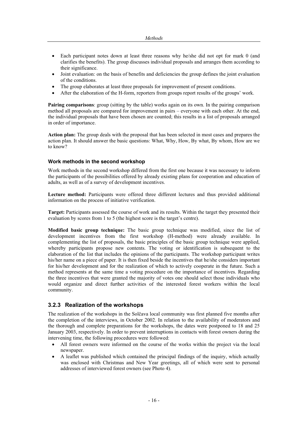- Each participant notes down at least three reasons why he/she did not opt for mark 0 (and clarifies the benefits). The group discusses individual proposals and arranges them according to their significance.
- Joint evaluation: on the basis of benefits and deficiencies the group defines the joint evaluation of the conditions.
- The group elaborates at least three proposals for improvement of present conditions.
- After the elaboration of the H-form, reporters from groups report results of the groups' work.

**Pairing comparisons**: group (sitting by the table) works again on its own. In the pairing comparison method all proposals are compared for improvement in pairs – everyone with each other. At the end, the individual proposals that have been chosen are counted; this results in a list of proposals arranged in order of importance.

**Action plan:** The group deals with the proposal that has been selected in most cases and prepares the action plan. It should answer the basic questions: What, Why, How, By what, By whom, How are we to know?

#### **Work methods in the second workshop**

Work methods in the second workshop differed from the first one because it was necessary to inform the participants of the possibilities offered by already existing plans for cooperation and education of adults, as well as of a survey of development incentives.

**Lecture method:** Participants were offered three different lectures and thus provided additional information on the process of initiative verification.

**Target:** Participants assessed the course of work and its results. Within the target they presented their evaluation by scores from 1 to 5 (the highest score is the target's centre).

**Modified basic group technique:** The basic group technique was modified, since the list of development incentives from the first workshop (H-method) were already available. In complementing the list of proposals, the basic principles of the basic group technique were applied, whereby participants propose new contents. The voting or identification is subsequent to the elaboration of the list that includes the opinions of the participants. The workshop participant writes his/her name on a piece of paper. It is then fixed beside the incentives that he/she considers important for his/her development and for the realization of which to actively cooperate in the future. Such a method represents at the same time a voting procedure on the importance of incentives. Regarding the three incentives that were granted the majority of votes one should select those individuals who would organize and direct further activities of the interested forest workers within the local community.

#### **3.2.3 Realization of the workshops**

The realization of the workshops in the Solčava local community was first planned five months after the completion of the interviews, in October 2002. In relation to the availability of moderators and the thorough and complete preparations for the workshops, the dates were postponed to 18 and 25 January 2003, respectively. In order to prevent interruptions in contacts with forest owners during the intervening time, the following procedures were followed:

- All forest owners were informed on the course of the works within the project via the local newspaper.
- x A leaflet was published which contained the principal findings of the inquiry, which actually was enclosed with Christmas and New Year greetings, all of which were sent to personal addresses of interviewed forest owners (see Photo 4).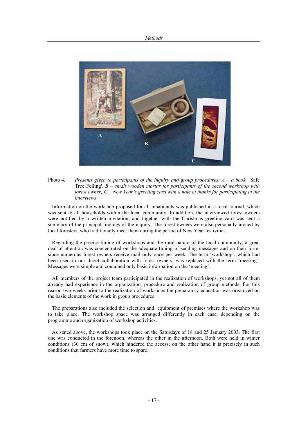

Photo 4. *Presents given to participants of the inquiry and group procedures: A – a book, '*Safe Tree Felling'*, B – small wooden mortar for participants of the second workshop with forest owner; C – New Year's greeting card with a note of thanks for participating in the interviews* 

Information on the workshop proposed for all inhabitants was published in a local journal, which was sent to all households within the local community. In addition, the interviewed forest owners were notified by a written invitation, and together with the Christmas greeting card was sent a summary of the principal findings of the inquiry. The forest owners were also personally invited by local foresters, who traditionally meet them during the period of New Year festivities.

Regarding the precise timing of workshops and the rural nature of the local community, a great deal of attention was concentrated on the adequate timing of sending messages and on their form, since numerous forest owners receive mail only once per week. The term 'workshop', which had been used in our direct collaboration with forest owners, was replaced with the term 'meeting'. Messages were simple and contained only basic information on the 'meeting'.

All members of the project team participated in the realization of workshops, yet not all of them already had experience in the organization, procedure and realization of group methods. For this reason two weeks prior to the realization of workshops the preparatory education was organized on the basic elements of the work in group procedures.

The preparations also included the selection and equipment of premises where the workshop was to take place. The workshop space was arranged differently in each case, depending on the programme and organization of workshop activities.

As stated above, the workshops took place on the Saturdays of 18 and 25 January 2003. The first one was conducted in the forenoon, whereas the other in the afternoon. Both were held in winter conditions (30 cm of snow), which hindered the access; on the other hand it is precisely in such conditions that farmers have more time to spare.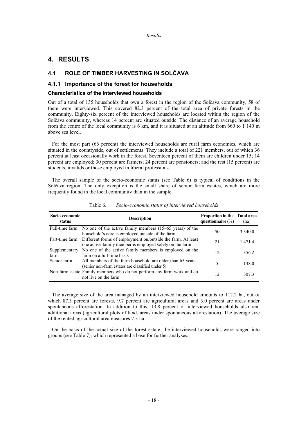# **4. RESULTS**

# **4.1 ROLE OF TIMBER HARVESTING IN SOLýAVA**

# **4.1.1 Importance of the forest for households**

# **Characteristics of the interviewed households**

Out of a total of 135 households that own a forest in the region of the Solčava community, 58 of them were interviewed. This covered 82.3 percent of the total area of private forests in the community. Eighty-six percent of the interviewed households are located within the region of the Solčava community, whereas 14 percent are situated outside. The distance of an average household from the centre of the local community is 6 km, and it is situated at an altitude from 660 to 1 140 m above sea level.

For the most part (66 percent) the interviewed households are rural farm economies, which are situated in the countryside, out of settlements. They include a total of 221 members, out of which 36 percent at least occasionally work in the forest. Seventeen percent of them are children under 15; 14 percent are employed; 30 percent are farmers; 24 percent are pensioners; and the rest (15 percent) are students, invalids or those employed in liberal professions.

The overall sample of the socio-economic status (see Table 6) is typical of conditions in the Solčava region. The only exception is the small share of senior farm estates, which are more frequently found in the local community than in the sample.

| Socio-economic<br>status | <b>Description</b>                                                                                                                    | Proportion in the Total area<br>questionnaire $(\%)$ | (ha)       |
|--------------------------|---------------------------------------------------------------------------------------------------------------------------------------|------------------------------------------------------|------------|
|                          | Full-time farm No one of the active family members (15–65 years) of the<br>household's core is employed outside of the farm           | 50                                                   | 3 3 4 0 .0 |
|                          | Part-time farm Different forms of employment on/outside the farm. At least<br>one active family member is employed solely on the farm | 21                                                   | 14714      |
| Supplementary<br>farm    | No one of the active family members is employed on the<br>farm on a full-time basis                                                   | 12                                                   | 356.2      |
| Senior farm              | All members of the farm household are older than 65 years -<br>(senior non-farm estates are classified under 5)                       | 5                                                    | 138.0      |
|                          | Non-farm estate Family members who do not perform any farm work and do<br>not live on the farm                                        | 12                                                   | 307.3      |

Table 6. *Socio-economic status of interviewed households* 

The average size of the area managed by an interviewed household amounts to 112.2 ha, out of which 87.3 percent are forests, 9.7 percent are agricultural areas and 3.0 percent are areas under spontaneous afforestation. In addition to this, 13.8 percent of interviewed households also rent additional areas (agricultural plots of land, areas under spontaneous afforestation). The average size of the rented agricultural area measures 7.3 ha.

On the basis of the actual size of the forest estate, the interviewed households were ranged into groups (see Table 7), which represented a base for further analyses.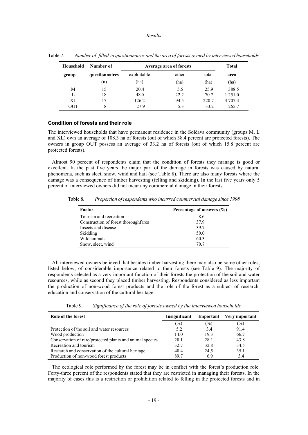| Household | Number of      | Average area of forests |       | Total |         |
|-----------|----------------|-------------------------|-------|-------|---------|
| group     | questionnaires | exploitable             | other | total | area    |
|           | (n)            | (ha                     | (ha)  | (ha)  | (ha)    |
| М         | 15             | 20.4                    | 5.5   | 25.9  | 388.5   |
|           | 18             | 48.5                    | 22.2  | 70.7  | 1 251.0 |
| XL        | 17             | 126.2                   | 94.5  | 220.7 | 3 707.4 |
| OUT       | 8              | 27.9                    | 5.3   | 33.2  | 265.7   |

Table 7. *Number of filled-in questionnaires and the area of forests owned by interviewed households* 

#### **Condition of forests and their role**

The interviewed households that have permanent residence in the Solčava community (groups M, L and XL) own an average of 108.3 ha of forests (out of which 38.4 percent are protected forests). The owners in group OUT possess an average of 33.2 ha of forests (out of which 15.8 percent are protected forests).

Almost 90 percent of respondents claim that the condition of forests they manage is good or excellent. In the past five years the major part of the damage in forests was caused by natural phenomena, such as sleet, snow, wind and hail (see Table 8). There are also many forests where the damage was a consequence of timber harvesting (felling and skidding). In the last five years only 5 percent of interviewed owners did not incur any commercial damage in their forests.

Table 8. *Proportion of respondents who incurred commercial damage since 1998* 

| Factor                               | Percentage of answers (%) |
|--------------------------------------|---------------------------|
| Tourism and recreation               | 8.6                       |
| Construction of forest thoroughfares | 37.9                      |
| Insects and disease                  | 39.7                      |
| <b>Skidding</b>                      | 50.0                      |
| Wild animals                         | 60.3                      |
| Snow, sleet, wind                    | 70.7                      |

All interviewed owners believed that besides timber harvesting there may also be some other roles, listed below, of considerable importance related to their forests (see Table 9). The majority of respondents selected as a very important function of their forests the protection of the soil and water resources, while as second they placed timber harvesting. Respondents considered as less important the production of non-wood forest products and the role of the forest as a subject of research, education and conservation of the cultural heritage.

Table 9. *Significance of the role of forests owned by the interviewed households.* 

| Role of the forest                                       | Insignificant | Important      | Very important |
|----------------------------------------------------------|---------------|----------------|----------------|
|                                                          | $\frac{1}{2}$ | $\binom{0}{0}$ | $\binom{0}{0}$ |
| Protection of the soil and water resources               | 5.2           | 3.4            | 91.4           |
| Wood production                                          | 14.0          | 19.3           | 66.7           |
| Conservation of rare/protected plants and animal species | 28.1          | 28.1           | 43.8           |
| Recreation and tourism                                   | 32.7          | 32.8           | 34.5           |
| Research and conservation of the cultural heritage       | 40.4          | 24.5           | 35.1           |
| Production of non-wood forest products                   | 89.7          | 6.9            | 3.4            |

The ecological role performed by the forest may be in conflict with the forest's production role. Forty-three percent of the respondents stated that they are restricted in managing their forests. In the majority of cases this is a restriction or prohibition related to felling in the protected forests and in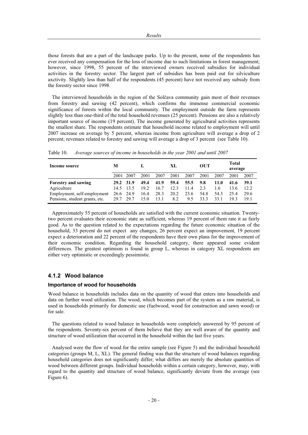those forests that are a part of the landscape parks. Up to the present, none of the respondents has ever received any compensation for the loss of income due to such limitations in forest management; however, since 1998, 55 percent of the interviewed owners received subsidies for individual activities in the forestry sector. The largest part of subsidies has been paid out for silviculture axctivity. Slightly less than half of the respondents (45 percent) have not received any subsidy from the forestry sector since 1998.

The interviewed households in the region of the Solčava community gain most of their revenues from forestry and sawing (42 percent), which confirms the immense commercial economic significance of forests within the local community. The employment outside the farm represents slightly less than one-third of the total household revenues (25 percent). Pensions are also a relatively important source of income (19 percent). The income generated by agricultural activities represents the smallest share. The respondents estimate that household income related to employment will until 2007 increase on average by 5 percent, whereas income from agriculture will average a drop of 2 percent; revenues related to forestry and sawing will average a drop of 3 percent (see Table 10).

| Income source                  | М         |           |      |      | XL   |      | <b>OUT</b> |      | Total<br>average |      |
|--------------------------------|-----------|-----------|------|------|------|------|------------|------|------------------|------|
|                                |           | 2001 2007 | 2001 | 2007 | 2001 | 2007 | 2001       | 2007 | 2001             | 2007 |
| <b>Forestry and sawing</b>     | 29.2 31.9 |           | 49.4 | 41.9 | 59.4 | 55.5 | 9.8        | 11.0 | 41.6             | 39.1 |
| Agriculture                    | 14.5      | 13.5      | 19.2 | 16.7 | 12.3 | 11.4 | 2.3        | 1.6  | 13.6             | 12.2 |
| Employment, self-employment    | 26.6 24.9 |           | 16.4 | 28.3 | 20.2 | 23.6 | 54.8       | 54.3 | 25.4             | 29.6 |
| Pensions, student grants, etc. | 29.7      | 29.7      | 15.0 | 13.1 | 8.2  | 9.5  | 33.3       | 33.1 | 19.3             | 19.1 |

Table 10. *Average sources of income in households in the year 2001 and until 2007* 

Approximately 55 percent of households are satisfied with the current economic situation. Twentytwo percent evaluates their economic state as sufficient, whereas 19 percent of them rate it as fairly good. As to the question related to the expectations regarding the future economic situation of the household, 33 percent do not expect any changes, 26 percent expect an improvement, 19 percent expect a deterioration and 22 percent of the respondents have their own plans for the improvement of their economic condition. Regarding the household category, there appeared some evident differences. The greatest optimism is found in group L, whereas in category XL respondents are either very optimistic or exceedingly pessimistic.

# **4.1.2 Wood balance**

#### **Importance of wood for households**

Wood balance in households includes data on the quantity of wood that enters into households and data on further wood utilization. The wood, which becomes part of the system as a raw material, is used in households primarily for domestic use (fuelwood, wood for construction and sawn wood) or for sale.

The questions related to wood balance in households were completely answered by 95 percent of the respondents. Seventy-six percent of them believe that they are well aware of the quantity and structure of wood utilization that occurred in the household within the last five years.

Analysed were the flow of wood for the entire sample (see Figure 5) and the individual household categories (groups M, L, XL). The general finding was that the structure of wood balances regarding household categories does not significantly differ; what differs are merely the absolute quantities of wood between different groups. Individual households within a certain category, however, may, with regard to the quantity and structure of wood balance, significantly deviate from the average (see Figure 6).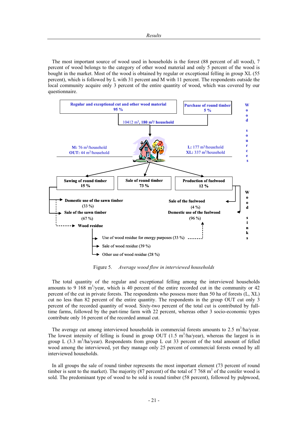The most important source of wood used in households is the forest (88 percent of all wood), 7 percent of wood belongs to the category of other wood material and only 5 percent of the wood is bought in the market. Most of the wood is obtained by regular or exceptional felling in group XL (55 percent), which is followed by L with 31 percent and M with 11 percent. The respondents outside the local community acquire only 3 percent of the entire quantity of wood, which was covered by our questionnaire.



Figure 5. *Average wood flow in interviewed households* 

The total quantity of the regular and exceptional felling among the interviewed households amounts to 9 168 m<sup>3</sup>/year, which is 40 percent of the entire recorded cut in the community or 42 percent of the cut in private forests. The respondents who possess more than 50 ha of forests (L, XL) cut no less than 82 percent of the entire quantity. The respondents in the group OUT cut only 3 percent of the recorded quantity of wood. Sixty-two percent of the total cut is contributed by fulltime farms, followed by the part-time farm with 22 percent, whereas other 3 socio-economic types contribute only 16 percent of the recorded annual cut.

The average cut among interviewed households in commercial forests amounts to  $2.5 \text{ m}^3/\text{ha/year}$ . The lowest intensity of felling is found in group OUT  $(1.5 \text{ m}^3/\text{ha/year})$ , whereas the largest is in group L (3.3 m<sup>3</sup>/ha/year). Respondents from group L cut 33 percent of the total amount of felled wood among the interviewed, yet they manage only 25 percent of commercial forests owned by all interviewed households.

In all groups the sale of round timber represents the most important element (73 percent of round timber is sent to the market). The majority  $(87 \text{ percent})$  of the total of  $7.768 \text{ m}^3$  of the conifer wood is sold. The predominant type of wood to be sold is round timber (58 percent), followed by pulpwood,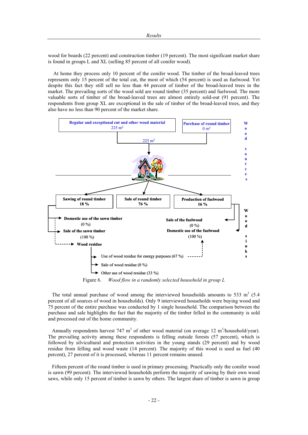wood for boards (22 percent) and construction timber (19 percent). The most significant market share is found in groups L and XL (selling 85 percent of all conifer wood).

 At home they process only 10 percent of the conifer wood. The timber of the broad-leaved trees represents only 15 percent of the total cut, the most of which (54 percent) is used as fuelwood. Yet despite this fact they still sell no less than 44 percent of timber of the broad-leaved trees in the market. The prevailing sorts of the wood sold are round timber (35 percent) and fuelwood. The more valuable sorts of timber of the broad-leaved trees are almost entirely sold-out (91 percent). The respondents from group XL are exceptional in the sale of timber of the broad-leaved trees, and they also have no less than 90 percent of the market share.



Figure 6. *Wood flow in a randomly selected household in group L* 

The total annual purchase of wood among the interviewed households amounts to 533  $m<sup>3</sup>$  (5.4) percent of all sources of wood in households). Only 9 interviewed households were buying wood and 75 percent of the entire purchase was conducted by 1 single household. The comparison between the purchase and sale highlights the fact that the majority of the timber felled in the community is sold and processed out of the home community.

Annually respondents harvest 747 m<sup>3</sup> of other wood material (on average 12 m<sup>3</sup>/household/year). The prevailing activity among these respondents is felling outside forests (57 percent), which is followed by silvicultural and protection activities in the young stands (29 percent) and by wood residue from felling and wood waste (14 percent). The majority of this wood is used as fuel (40 percent), 27 percent of it is processed, whereas 11 percent remains unused.

Fifteen percent of the round timber is used in primary processing. Practically only the conifer wood is sawn (99 percent). The interviewed households perform the majority of sawing by their own wood saws, while only 15 percent of timber is sawn by others. The largest share of timber is sawn in group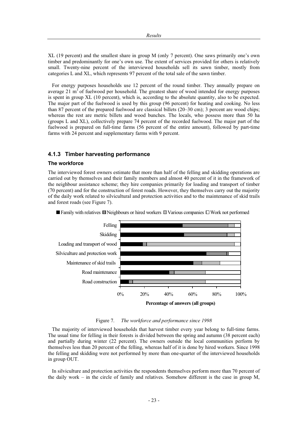XL (19 percent) and the smallest share in group M (only 7 percent). One saws primarily one's own timber and predominantly for one's own use. The extent of services provided for others is relatively small. Twenty-nine percent of the interviewed households sell its sawn timber, mostly from categories L and XL, which represents 97 percent of the total sale of the sawn timber.

For energy purposes households use 12 percent of the round timber. They annually prepare on average 21  $\text{m}^3$  of fuelwood per household. The greatest share of wood intended for energy purposes is spent in group XL (10 percent), which is, according to the absolute quantity, also to be expected. The major part of the fuelwood is used by this group (96 percent) for heating and cooking. No less than 87 percent of the prepared fuelwood are classical billets (20–30 cm); 3 percent are wood chips; whereas the rest are metric billets and wood bunches. The locals, who possess more than 50 ha (groups L and XL), collectively prepare 74 percent of the recorded fuelwood. The major part of the fuelwood is prepared on full-time farms (56 percent of the entire amount), followed by part-time farms with 24 percent and supplementary farms with 9 percent.

#### **4.1.3 Timber harvesting performance**

#### **The workforce**

The interviewed forest owners estimate that more than half of the felling and skidding operations are carried out by themselves and their family members and almost 40 percent of it in the framework of the neighbour assistance scheme; they hire companies primarily for loading and transport of timber (70 percent) and for the construction of forest roads. However, they themselves carry out the majority of the daily work related to silvicultural and protection activities and to the maintenance of skid trails and forest roads (see Figure 7).



**Family with relatives**  $\Box$  **Neighbours or hired workers**  $\Box$  **Various companies**  $\Box$  **Work not performed** 

Figure 7. *The workforce and performance since 1998* 

The majority of interviewed households that harvest timber every year belong to full-time farms. The usual time for felling in their forests is divided between the spring and autumn (38 percent each) and partially during winter (22 percent). The owners outside the local communities perform by themselves less than 20 percent of the felling, whereas half of it is done by hired workers. Since 1998 the felling and skidding were not performed by more than one-quarter of the interviewed households in group OUT.

In silviculture and protection activities the respondents themselves perform more than 70 percent of the daily work – in the circle of family and relatives. Somehow different is the case in group M,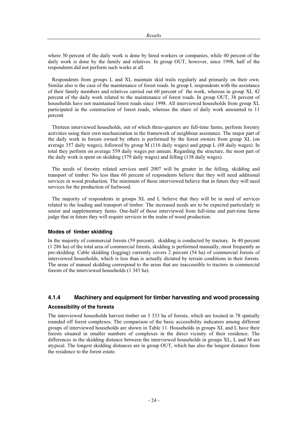where 30 percent of the daily work is done by hired workers or companies, while 40 percent of the daily work is done by the family and relatives. In group OUT, however, since 1998, half of the respondents did not perform such works at all.

Respondents from groups L and XL maintain skid trails regularly and primarily on their own. Similar also is the case of the maintenance of forest roads. In group L respondents with the assistance of their family members and relatives carried out 60 percent of the work, whereas in group XL 42 percent of the daily work related to the maintenance of forest roads. In group OUT, 38 percent of households have not maintained forest roads since 1998. All interviewed households from group XL participated in the construction of forest roads, whereas the share of daily work amounted to 11 percent.

Thirteen interviewed households, out of which three-quarters are full-time farms, perform forestry activities using their own mechanization in the framework of neighbour assistance. The major part of the daily work in forests owned by others is performed by the forest owners from group XL (on average 357 daily wages), followed by group M (116 daily wages) and grpup L (88 daily wages). In total they perform on average 559 daily wages per annum. Regarding the structure, the most part of the daily work is spent on skidding (379 daily wages) and felling (138 daily wages).

The needs of forestry related services until 2007 will be greater in the felling, skidding and transport of timber. No less than 60 percent of respondents believe that they will need additional services in wood production. The minimum of those interviewed believe that in future they will need services for the production of fuelwood.

The majority of respondents in groups XL and L believe that they will be in need of services related to the loading and transport of timber. The increased needs are to be expected particularly in senior and supplementary farms. One-half of those interviewed from full-time and part-time farms judge that in future they will require services in the realm of wood production.

#### **Modes of timber skidding**

In the majority of commercial forests (59 percent), skidding is conducted by tractors. In 40 percent (1 286 ha) of the total area of commercial forests, skidding is performed manually, most frequently as pre-skidding. Cable skidding (logging) currently covers 2 percent (54 ha) of commercial forests of interviewed households, which is less than is actually dictated by terrain conditions in their forests. The areas of manual skidding correspond to the areas that are inaccessible to tractors in commercial forests of the interviewed households (1 343 ha).

# **4.1.4 Machinery and equipment for timber harvesting and wood processing**

#### **Accessibility of the forests**

The interviewed households harvest timber on 3 333 ha of forests, which are located in 78 spatially rounded off forest complexes. The comparison of the basic accessibility indicators among different groups of interviewed households are shown in Table 11. Households in groups XL and L have their forests situated in smaller numbers of complexes in the direct vicinity of their residence. The differences in the skidding distance between the interviewed households in groups XL, L and M are atypical. The longest skidding distances are in group OUT, which has also the longest distance from the residence to the forest estate.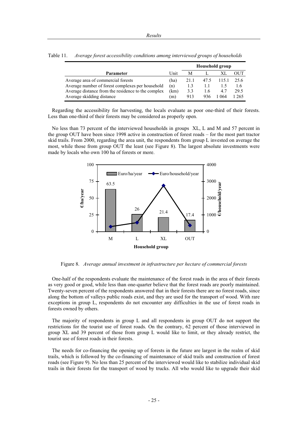|                                                    |      |      |      | <b>Household group</b> |      |
|----------------------------------------------------|------|------|------|------------------------|------|
| <b>Parameter</b>                                   | Unit | М    |      |                        | OUT  |
| Average area of commercial forests                 | (ha) | 21.1 | 47.5 | 115.1                  | 25.6 |
| Average number of forest complexes per household   | (n)  | 1.3  |      |                        | 1.6  |
| Average distance from the residence to the complex | (km) | 3.3  | 1.6  | 4.7                    | 29.5 |
| Average skidding distance                          | (m)  | 913  | 936  | 1 064                  | 265  |

Table 11. *Average forest accessibility conditions among interviewed groups of households* 

Regarding the accessibility for harvesting, the locals evaluate as poor one-third of their forests. Less than one-third of their forests may be considered as properly open.

No less than 73 percent of the interviewed households in groups XL, L and M and 57 percent in the group OUT have been since 1998 active in construction of forest roads – for the most part tractor skid trails. From 2000, regarding the area unit, the respondents from group L invested on average the most, while those from group OUT the least (see Figure 8). The largest absolute investments were made by locals who own 100 ha of forests or more.



Figure 8. *Average annual investment in infrastructure per hectare of commercial forests* 

One-half of the respondents evaluate the maintenance of the forest roads in the area of their forests as very good or good, while less than one-quarter believe that the forest roads are poorly maintained. Twenty-seven percent of the respondents answered that in their forests there are no forest roads, since along the bottom of valleys public roads exist, and they are used for the transport of wood. With rare exceptions in group L, respondents do not encounter any difficulties in the use of forest roads in forests owned by others.

The majority of respondents in group L and all respondents in group OUT do not support the restrictions for the tourist use of forest roads. On the contrary, 62 percent of those interviewed in group XL and 39 percent of those from group L would like to limit, or they already restrict, the tourist use of forest roads in their forests.

The needs for co-financing the opening up of forests in the future are largest in the realm of skid trails, which is followed by the co-financing of maintenance of skid trails and construction of forest roads (see Figure 9). No less than 25 percent of the interviewed would like to stabilize individual skid trails in their forests for the transport of wood by trucks. All who would like to upgrade their skid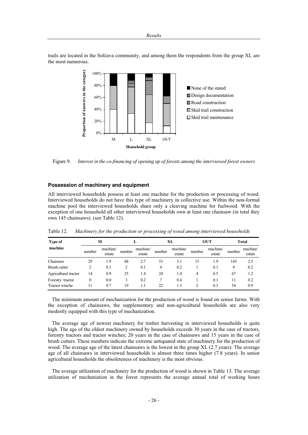trails are located in the Solčava community, and among them the respondents from the group XL are the most numerous.



Figure 9. *Interest in the co-financing of opening up of forests among the interviewed forest owners* 

#### **Possession of machinery and equipment**

All interviewed households possess at least one machine for the production or processing of wood. Interviewed households do not have this type of machinery in collective use. Within the non-formal machine pool the interviewed households share only a cleaving machine for fuelwood. With the exception of one household all other interviewed households own at least one chainsaw (in total they own 145 chainsaws). (see Table 12).

| <b>Type of</b>                     |        | M                  |         |                    |                | XL                 |                | <b>OUT</b>         |          | Total              |
|------------------------------------|--------|--------------------|---------|--------------------|----------------|--------------------|----------------|--------------------|----------|--------------------|
| machine                            | number | machine/<br>estate | number  | machine/<br>estate | number         | machine/<br>estate | number         | machine/<br>estate | number   | machine/<br>estate |
| Chainsaw                           | 29     | 1.9                | 48      | 2.7                | 53             | 3.1                | 15             | 1.9                | 145      | 2.5                |
| Brush cutter                       |        | 0.1                | 2       | 0.1                | $\overline{4}$ | 0.2                |                | 0.1                | 9        | 0.2                |
| Agricultural tractor               | 14     | 0.9                | 25      | 1.4                | 24             | 1.4                | 4              | 0.5                | 67       | 1.2                |
| Forestry tractor<br>Tractor winche | 0      | 0.0<br>0.7         | 3<br>19 | 0.2<br>1.1         | 22             | 0.4<br>1.3         | $\mathfrak{D}$ | 0.1<br>0.3         | 11<br>54 | 0.2<br>0.9         |

Table 12. *Machinery for the production or processing of wood among interviewed households* 

The minimum amount of mechanization for the production of wood is found on senior farms. With the exception of chainsaws, the supplementary and non-agricultural households are also very modestly equipped with this type of mechanization.

The average age of newest machinery for timber harvesting in interviewed households is quite high. The age of the oldest machinery owned by households exceeds 30 years in the case of tractors, forestry tractors and tractor winches; 20 years in the case of chainsaws and 15 years in the case of brush cutters. These numbers indicate the extreme antiquated state of machinery for the production of wood. The average age of the latest chainsaws is the lowest in the group XL (2.7 years). The average age of all chainsaws in interviewed households is almost three times higher (7.8 years). In senior agricultural households the obsoleteness of machinery is the most obvious.

The average utilization of machinery for the production of wood is shown in Table 13. The average utilization of mechaniation in the forest represents the average annual total of working hours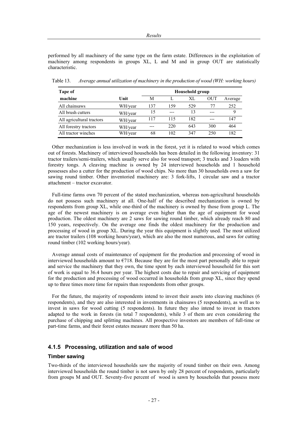performed by all machinery of the same type on the farm estate. Differences in the exploitation of machinery among respondents in groups XL, L and M and in group OUT are statistically characteristic.

| Tape of                   |         |     |     | <b>Household group</b> |     |         |
|---------------------------|---------|-----|-----|------------------------|-----|---------|
| machine                   | Unit    | М   |     | XL                     | OUT | Average |
| All chainsaws             | WH/year | 137 | 159 | 529                    | 77  | 252     |
| All brush cutters         | WH/year | 15  | --- | 13                     | --- |         |
| All agricultural tractors | WH/year | 117 | 115 | 182                    | --- | 147     |
| All forestry tractors     | WH/year | --- | 220 | 643                    | 300 | 464     |
| All tractor winches       | WH/year | 68  | 102 | 347                    | 250 | 182     |

Table 13. *Average annual utilization of machinery in the production of wood (WH: working hours)* 

Other mechanization is less involved in work in the forest, yet it is related to wood which comes out of forests. Machinery of interviewed households has been detailed in the following inventory: 31 tractor trailers/semi-trailers, which usually serve also for wood transport; 3 trucks and 3 loaders with forestry tongs. A cleaving machine is owned by 24 interviewed households and 1 household possesses also a cutter for the production of wood chips. No more than 30 households own a saw for sawing round timber. Other inventoried machinery are: 3 fork-lifts, 1 circular saw and a tractor attachment – tractor excavator.

Full-time farms own 70 percent of the stated mechanization, whereas non-agricultural households do not possess such machinery at all. One-half of the described mechanization is owned by respondents from group XL, while one-third of the machinery is owned by those from group L. The age of the newest machinery is on average even higher than the age of equipment for wood production. The oldest machinery are 2 saws for sawing round timber, which already reach 80 and 150 years, respectively. On the average one finds the oldest machinery for the production and processing of wood in group XL. During the year this equipment is slightly used. The most utilized are tractor trailers (108 working hours/year), which are also the most numerous, and saws for cutting round timber (102 working hours/year).

Average annual costs of maintenance of equipment for the production and processing of wood in interviewed households amount to  $\epsilon$ 718. Because they are for the most part personally able to repair and service the machinery that they own, the time spent by each interviewed household for this sort of work is equal to 36.4 hours per year. The highest costs due to repair and servicing of equipment for the production and processing of wood occurred in households from group XL, since they spend up to three times more time for repairs than respondents from other groups.

For the future, the majority of respondents intend to invest their assets into cleaving machines (6 respondents), and they are also interested in investments in chainsaws (5 respondents), as well as to invest in saws for wood cutting (5 respondents). In future they also intend to invest in tractors adapted to the work in forests (in total 7 respondents), while 3 of them are even considering the purchase of chipping and splitting machines. All prospective investors are members of full-time or part-time farms, and their forest estates measure more than 50 ha.

# **4.1.5 Processing, utilization and sale of wood**

#### **Timber sawing**

Two-thirds of the interviewed households saw the majority of round timber on their own. Among interviewed households the round timber is not sawn by only 28 percent of respondents, particularly from groups M and OUT. Seventy-five percent of wood is sawn by households that possess more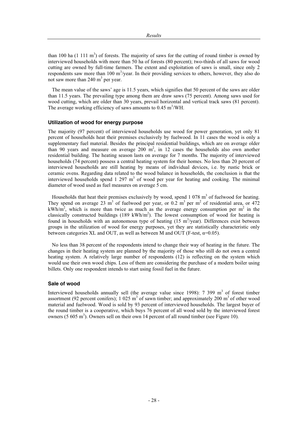than 100 ha  $(1 \ 111 \ m^3)$  of forests. The majority of saws for the cutting of round timber is owned by interviewed households with more than 50 ha of forests (80 percent); two-thirds of all saws for wood cutting are owned by full-time farmers. The extent and exploitation of saws is small, since only 2 respondents saw more than  $100 \text{ m}^3/\text{year}$ . In their providing services to others, however, they also do not saw more than  $240 \text{ m}^3$  per year.

The mean value of the saws' age is 11.5 years, which signifies that 50 percent of the saws are older than 11.5 years. The prevailing type among them are draw saws (75 percent). Among saws used for wood cutting, which are older than 30 years, prevail horizontal and vertical track saws (81 percent). The average working efficiency of saws amounts to  $0.45 \text{ m}^3/\text{WH}$ .

#### **Utilization of wood for energy purpose**

The majority (97 percent) of interviewed households use wood for power generation, yet only 81 percent of households heat their premises exclusively by fuelwood. In 11 cases the wood is only a supplementary fuel material. Besides the principal residential buildings, which are on average older than 90 years and measure on average  $200 \text{ m}^2$ , in 12 cases the households also own another residential building. The heating season lasts on average for 7 months. The majority of interviewed households (74 percent) possess a central heating system for their homes. No less than 20 percent of interviewed households are still heating by means of individual devices, i.e. by rustic brick or ceramic ovens. Regarding data related to the wood balance in households, the conclusion is that the interviewed households spend  $1, 297$  m<sup>3</sup> of wood per year for heating and cooking. The minimal diameter of wood used as fuel measures on average 5 cm.

Households that heat their premises exclusively by wood, spend  $1\,078\,\mathrm{m}^3$  of fuelwood for heating. They spend on average 23  $\text{m}^3$  of fuelwood per year, or 0.2  $\text{m}^3$  per  $\text{m}^2$  of residential area, or 472 kWh/m<sup>2</sup>, which is more than twice as much as the average energy consumption per m<sup>2</sup> in the classically constructed buildings  $(189 \text{ kWh/m}^2)$ . The lowest consumption of wood for heating is found in households with an autonomous type of heating  $(15 \text{ m}^3/\text{year})$ . Differences exist between groups in the utilization of wood for energy purposes, yet they are statistically characteristic only between categories XL and OUT, as well as between M and OUT (F-test,  $\alpha=0.05$ ).

No less than 38 percent of the respondents intend to change their way of heating in the future. The changes in their heating system are planned by the majority of those who still do not own a central heating system. A relatively large number of respondents (12) is reflecting on the system which would use their own wood chips. Less of them are considering the purchase of a modern boiler using billets. Only one respondent intends to start using fossil fuel in the future.

#### **Sale of wood**

Interviewed households annually sell (the average value since 1998):  $7\,399\, \text{m}^3$  of forest timber assortment (92 percent conifers); 1 025  $m<sup>3</sup>$  of sawn timber; and approximately 200  $m<sup>3</sup>$  of other wood material and fuelwood. Wood is sold by 93 percent of interviewed households. The largest buyer of the round timber is a cooperative, which buys 76 percent of all wood sold by the interviewed forest owners (5  $605 \text{ m}^3$ ). Owners sell on their own 14 percent of all round timber (see Figure 10).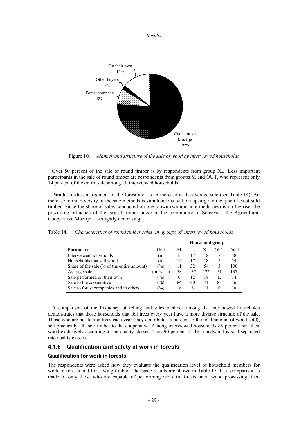

Figure 10. *Manner and structure of the sale of wood by interviewed households* 

Over 50 percent of the sale of round timber is by respondents from group XL. Less important participants in the sale of round timber are respondents from groups M and OUT, who represent only 14 percent of the entire sale among all interviewed households.

Parallel to the enlargement of the forest area is an increase in the average sale (see Table 14). An increase in the diversity of the sale methods is simultaneous with an upsurge in the quantities of sold timber. Since the share of sales conducted on one's own (without intermediaries) is on the rise, the prevailing influence of the largest timber buyer in the community of Solčava – the Agricultural Cooperative Mozirje – is slightly decreasing.

| Table 14. |  | Characteristics of round timber sales in groups of interviewed households |  |  |  |
|-----------|--|---------------------------------------------------------------------------|--|--|--|
|-----------|--|---------------------------------------------------------------------------|--|--|--|

|                                                            |               |          |     |     | <b>Household group</b> |       |
|------------------------------------------------------------|---------------|----------|-----|-----|------------------------|-------|
| Parameter                                                  | Unit          | М        |     | XL  | <b>OUT</b>             | Total |
| Interviewed households                                     | (n)           | 15       | 17  | 18  | 8                      | 58    |
| Households that sell wood                                  | (n)           | 14       | 17  | 18  | 5                      | 54    |
| Share of the sale $\left(\% \right)$ of the entire amount) | $\frac{1}{2}$ | 11       | 32  | 54  | 3                      | 100   |
| Average sale                                               | $(m^3$ /year) | 58       | 137 | 222 | 51                     | 137   |
| Sale performed on their own                                | $\frac{1}{2}$ | $\theta$ | 12  | 18  | 12                     | 14    |
| Sale to the cooperative                                    | $\frac{1}{2}$ | 84       | 80  | 71  | 88                     | 76    |
| Sale to forest companies and to others                     | $\frac{1}{2}$ | 16       | 8   | 11  | 0                      | 10    |

A comparison of the frequency of felling and sales methods among the interviewed households demonstrates that those households that fell trees every year have a more diverse structure of the sale. Those who are not felling trees each year (they contribute 15 percent to the total amount of wood sold), sell practically all their timber to the cooperative. Among interviewed households 83 percent sell their wood exclusively according to the quality classes. Thus 90 percent of the roundwood is sold separated into quality classes.

## **4.1.6 Qualification and safety at work in forests**

#### **Qualification for work in forests**

The respondents were asked how they evaluate the qualification level of household members for work in forests and for sawing timber. The basic results are shown in Table 15. If a comparison is made of only those who are capable of performing work in forests or at wood processing, then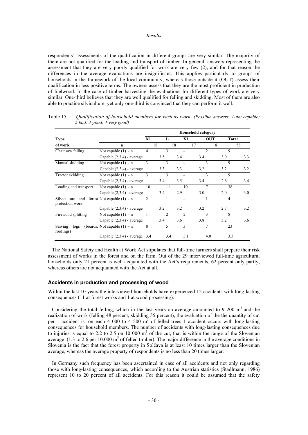respondents' assessments of the qualification in different groups are very similar. The majority of them are not qualified for the loading and transport of timber. In general, answers representing the assessment that they are very poorly qualified for work are very few (2), and for that reason the differences in the average evaluations are insignificant. This applies particularly to groups of households in the framework of the local community, whereas those outside it (OUT) assess their qualification in less positive terms. The owners assess that they are the most proficient in production of fuelwood. In the case of timber harvesting the evaluations for different types of work are very similar. One-third believes that they are well qualified for felling and skidding. Most of them are also able to practice silviculture, yet only one-third is convinced that they can perform it well.

|                                                                  |                                 |                |                |                | <b>Household category</b> |                |     |
|------------------------------------------------------------------|---------------------------------|----------------|----------------|----------------|---------------------------|----------------|-----|
| <b>Type</b>                                                      |                                 | M              | L              | XL             | <b>OUT</b>                | Total          |     |
| of work                                                          | $\mathbf n$                     |                | 15             | 18             | 17                        | 8              | 58  |
| Chainsaw felling                                                 | Not capable $(1) - n$           | $\overline{4}$ | 3              |                | $\overline{2}$            | $\mathbf Q$    |     |
|                                                                  | Capable $(2,3,4)$ - average     |                | 3.5            | 3.4            | 3.4                       | 3.0            | 3.3 |
| Manual skidding                                                  | Not capable $(1) - n$           | 3              | 3              |                | 3                         | 9              |     |
|                                                                  | Capable $(2,3,4)$ - average     |                | 3.3            | 3.3            | 3,2                       | 3.2            | 3.2 |
| Tractor skidding                                                 | Not capable $(1) - n$           | 3              | 3              |                | 3                         | 9              |     |
|                                                                  | Capable $(2,3,4)$ - average     |                | 3.4            | 3.5            | 3.4                       | 2.6            | 3.4 |
| Loading and transport                                            | Not capable $(1) - n$           | 10             | 11             | 10             | 7                         | 38             |     |
|                                                                  | Capable $(2,3,4)$ - average     |                | 3.4            | 2.9            | 3.0                       | 2.0            | 3.0 |
| Silviculture and forest Not capable $(1)$ - n<br>protection work |                                 | $\overline{c}$ |                |                |                           | $\overline{4}$ |     |
|                                                                  | Capable $(2,3,4)$ - average     |                | 3.2            | 3.2            | 3.2                       | 2.7            | 3.2 |
| Firewood splitting                                               | Not capable $(1) - n$           |                | $\mathfrak{D}$ | $\mathfrak{D}$ | 3                         | 8              |     |
|                                                                  | Capable $(2,3,4)$ - average     |                | 3.4            | 3.6            | 3.8                       | 3.2            | 3.6 |
| Sawing<br>$\log s$<br>roofings)                                  | (boards, Not capable $(1)$ - n  | 8              | 5              | $\mathbf{3}$   | 7                         | 23             |     |
|                                                                  | Capable $(2,3,4)$ - average 3.4 |                | 3.4            | 3.1            | 4.0                       | 3.3            |     |

Table 15. *Qualification of household members for various work (Possible answers :1-not capable; 2-bad; 3-good; 4-very good)* 

The National Safety and Health at Work Act stipulates that full-time farmers shall prepare their risk assessment of works in the forest and on the farm. Out of the 29 interviewed full-time agricultural households only 21 percent is well acquainted with the Act's requirements, 62 percent only partly, whereas others are not acquainted with the Act at all.

#### **Accidents in production and processing of wood**

Within the last 10 years the interviewed households have experienced 12 accidents with long-lasting consequences (11 at forest works and 1 at wood processing).

Considering the total felling, which in the last years on average amounted to 9 200  $m<sup>3</sup>$  and the realization of work (felling 48 percent, skidding 55 percent), the evaluation of the the quantity of cut per 1 accident is: on each 4 000 to 4 500  $m<sup>3</sup>$  of felled trees 1 accident occurs with long-lasting consequences for household members. The number of accidents with long-lasting consequences due to injuries is equal to 2.2 to 2.5 on 10 000  $m<sup>3</sup>$  of the cut, that is within the range of the Slovenian average  $(1.3 \text{ to } 2.6 \text{ per } 10.000 \text{ m}^3)$  of felled timber). The major difference in the average conditions in Slovenia is the fact that the forest property in Solčava is at least 10 times larger than the Slovenian average, whereas the average property of respondents is no less than 20 times larger.

In Germany such frequency has been ascertained in case of all accidents and not only regarding those with long-lasting consequences, which according to the Austrian statistics (Stadlmann, 1986) represent 10 to 20 percent of all accidents. For this reason it could be assumed that the safety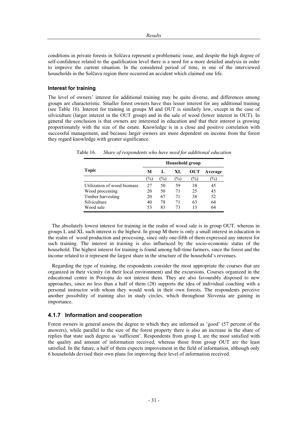conditions in private forests in Solčava represent a problematic issue, and despite the high degree of self-confidence related to the qualification level there is a need for a more detailed analysis in order to improve the current situation. In the considered period of time, in one of the interviewed households in the Solčava region there occurred an accident which claimed one life.

#### **Interest for training**

The level of owners' interest for additional training may be quite diverse, and differences among groups are characteristic. Smaller forest owners have thus lesser interest for any additional training (see Table 16). Interest for training in groups M and OUT is similarly low, except in the case of silviculture (larger interest in the OUT group) and in the sale of wood (lower interest in OUT). In general the conclusion is that owners are interested in education and that their interest is growing proportionately with the size of the estate. Knowledge is in a close and positive correlation with successful management, and because larger owners are more dependent on income from the forest they regard knowledge with greater significance.

|                             |               |      |      | Household group |               |
|-----------------------------|---------------|------|------|-----------------|---------------|
| Topic                       | M             | L    | XL   | OUT             | Average       |
|                             | $\frac{1}{2}$ | $\%$ | $\%$ | $\frac{1}{2}$   | $\frac{1}{2}$ |
| Utilization of wood biomass | 27            | 50   | 59   | 38              | 45            |
| Wood processing             | 20            | 50   | 71   | 25              | 45            |
| Timber harvesting           | 20            | 67   | 71   | 38              | 52            |
| Silviculture                | 40            | 78   | 71   | 63              | 64            |
| Wood sale                   | 53            | 83   | 73   | 13              | 64            |

Table 16. *Share of respondents who have need for additional education* 

The absolutely lowest interest for training in the realm of wood sale is in group OUT, whereas in groups L and XL such interest is the highest. In group M there is only a small interest in education in the realm of wood production and processing, since only one-fifth of them expressed any interest for such training. The interest in training is also influenced by the socio-economic status of the household. The highest interest for training is found among full-time farmers, since the forest and the income related to it represent the largest share in the structure of the household's revenues.

Regarding the type of training, the respondents consider the most appropriate the courses that are organized in their vicinity (in their local environment) and the excursions. Courses organized in the educational centre in Postojna do not interest them. They are also favourably disposed to new approaches, since no less than a half of them (28) supports the idea of individual coaching with a personal instructor with whom they would work in their own forests. The respondents perceive another possibility of training also in study circles, which throughout Slovenia are gaining in importance.

# **4.1.7 Information and cooperation**

Forest owners in general assess the degree to which they are informed as 'good' (57 percent of the answers), while parallel to the size of the forest property there is also an increase in the share of replies that state such degree as 'sufficient'. Respondents from group L are the most satisfied with the quality and amount of information received, whereas those from group OUT are the least satisfied. In the future, a half of them expects improvement in the field of information, although only 6 households devised their own plans for improving their level of information received.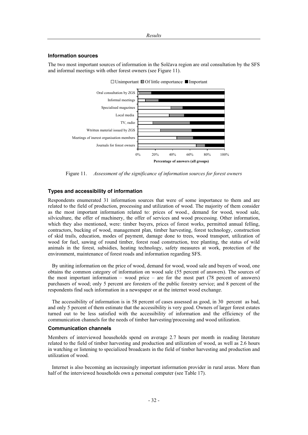#### **Information sources**

The two most important sources of information in the Solčava region are oral consultation by the SFS and informal meetings with other forest owners (see Figure 11).

![](_page_38_Figure_3.jpeg)

Figure 11. *Assessment of the significance of information sources for forest owners* 

#### **Types and accessibility of information**

Respondents enumerated 31 information sources that were of some importance to them and are related to the field of production, processing and utilization of wood. The majority of them consider as the most important information related to: prices of wood., demand for wood, wood sale, silviculture, the offer of machinery, the offer of services and wood processing. Other information, which they also mentioned, were: timber buyers, prices of forest works, permitted annual felling, contractors, bucking of wood, management plan, timber harvesting, forest technology, construction of skid trails, education, modes of payment, damage done to trees, wood transport, utilization of wood for fuel, sawing of round timber, forest road construction, tree planting, the status of wild animals in the forest, subsidies, heating technology, safety measures at work, protection of the environment, maintenance of forest roads and information regarding SFS.

By uniting information on the price of wood, demand for wood, wood sale and buyers of wood, one obtains the common category of information on wood sale (55 percent of answers). The sources of the most important information – wood price – are for the most part (78 percent of answers) purchasers of wood; only 5 percent are foresters of the public forestry service; and 8 percent of the respondents find such information in a newspaper or at the internet wood exchange.

The accessibility of information is in 58 percent of cases assessed as good, in 30 percent as bad, and only 5 percent of them estimate that the accessibility is very good. Owners of larger forest estates turned out to be less satisfied with the accessibility of information and the efficiency of the communication channels for the needs of timber harvesting/processing and wood utilization.

#### **Communication channels**

Members of interviewed households spend on average 2.7 hours per month in reading literature related to the field of timber harvesting and production and utilization of wood, as well as 2.6 hours in watching or listening to specialized broadcasts in the field of timber harvesting and production and utilization of wood.

Internet is also becoming an increasingly important information provider in rural areas. More than half of the interviewed households own a personal computer (see Table 17).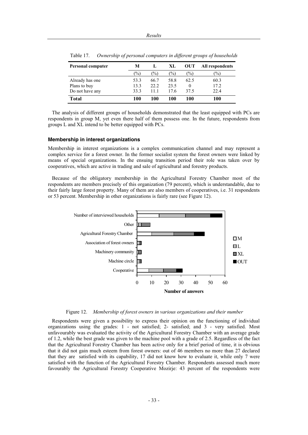| Personal computer | M             |               | XL            | <b>OUT</b>    | All respondents |
|-------------------|---------------|---------------|---------------|---------------|-----------------|
|                   | $\frac{1}{2}$ | $\frac{1}{2}$ | $\frac{1}{2}$ | $\frac{1}{2}$ | $(\%)$          |
| Already has one   | 53.3          | 66.7          | 58.8          | 62.5          | 60.3            |
| Plans to buy      | 13.3          | 22.2          | 23.5          | $\theta$      | 17.2            |
| Do not have any   | 33.3          | 11.1          | 17.6          | 37.5          | 22.4            |
| <b>Total</b>      | 100           | 100           | 100           | 100           | 100             |

Table 17. *Ownership of personal computers in different groups of households* 

The analysis of different groups of households demonstrated that the least equipped with PCs are respondents in group M, yet even there half of them possess one. In the future, respondents from groups L and XL intend to be better equipped with PCs.

#### **Membership in interest organizations**

Membership in interest organizations is a complex communication channel and may represent a complex service for a forest owner. In the former socialist system the forest owners were linked by means of special organizations. In the ensuing transition period their role was taken over by cooperatives, which are active in trading and sale of agricultural and forestry products.

Because of the obligatory membership in the Agricultural Forestry Chamber most of the respondents are members precisely of this organization (79 percent), which is understandable, due to their fairly large forest property. Many of them are also members of cooperatives, i.e. 31 respondents or 53 percent. Membership in other organizations is fairly rare (see Figure 12).

![](_page_39_Figure_7.jpeg)

Figure 12. *Membership of forest owners in various organizations and their number* 

Respondents were given a possibility to express their opinion on the functioning of individual organizations using the grades: 1 - not satisfied; 2- satisfied; and 3 - very satisfied. Most unfavourably was evaluated the activity of the Agricultural Forestry Chamber with an average grade of 1.2, while the best grade was given to the machine pool with a grade of 2.5. Regardless of the fact that the Agricultural Forestry Chamber has been active only for a brief period of time, it is obvious that it did not gain much esteem from forest owners: out of 46 members no more than 27 declared that they are satisfied with its capability, 17 did not know how to evaluate it, while only 7 were satisfied with the function of the Agricultural Forestry Chamber. Respondents assessed much more favourably the Agricultural Forestry Cooperative Mozirje: 43 percent of the respondents were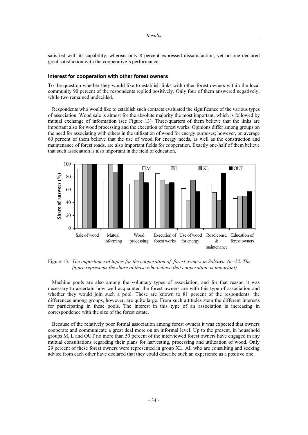satisfied with its capability, whereas only 8 percent expressed dissatisfaction, yet no one declared great satisfaction with the cooperative's performance.

#### **Interest for cooperation with other forest owners**

To the question whether they would like to establish links with other forest owners within the local community 90 percent of the respondents replied positively. Only four of them answered negatively, while two remained undecided.

Respondents who would like to establish such contacts evaluated the significance of the various types of association. Wood sale is almost for the absolute majority the most important, which is followed by mutual exchange of information (see Figure 13). Three-quarters of them believe that the links are important also for wood processing and the execution of forest works. Opinions differ among groups on the need for associating with others in the utilization of wood for energy purposes; however, on average 60 percent of them believe that the use of wood for energy needs, as well as the construction and maintenance of forest roads, are also important fields for cooperation. Exactly one-half of them believe that such association is also important in the field of education.

![](_page_40_Figure_5.jpeg)

Figure 13. The importance of topics for the cooperation of forest owners in Solčava (n=52. The *figure represents the share of those who believe that cooperation is important)* 

Machine pools are also among the voluntary types of association, and for that reason it was necessary to ascertain how well acquainted the forest owners are with this type of association and whether they would join such a pool. These are known to 81 percent of the respondents; the differences among groups, however, are quite large. From such attitudes stem the different interests for participating in these pools. The interest in this type of an association is increasing in correspondence with the size of the forest estate.

Because of the relatively poor formal association among forest owners it was expected that owners cooperate and communicate a great deal more on an informal level. Up to the present, in household groups M, L and OUT no more than 50 percent of the interviewed forest owners have engaged in any mutual consultations regarding their plans for harvesting, processing and utilization of wood. Only 29 percent of these forest owners were represented in group XL. All who are consulting and seeking advice from each other have declared that they could describe such an experience as a positive one.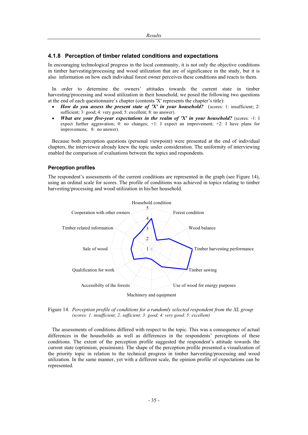# **4.1.8 Perception of timber related conditions and expectations**

In encouraging technological progress in the local community, it is not only the objective conditions in timber harvesting/processing and wood utilization that are of significance in the study, but it is also information on how each individual forest owner perceives these conditions and reacts to them.

In order to determine the owners' attitudes towards the current state in timber harvesting/processing and wood utilization in their household, we posed the following two questions at the end of each questionnaire's chapter (contents 'X' represents the chapter's title):

- *How do you assess the present state of 'X' in your household?* (scores: 1: insufficient; 2: sufficient; 3: good; 4: very good; 5: excellent; 8: no answer).
- *What are your five-year expectations in the realm of 'X' in your household?* (scores:  $-1$ : I expect further aggravation; 0: no changes; +1: I expect an improvement; +2: I have plans for improvemens; 8: no answer).

Because both perception questions (personal viewpoint) were presented at the end of individual chapters, the interviewee already knew the topic under consideration. The uniformity of interviewing enabled the comparison of evaluations between the topics and respondents.

#### **Perception profiles**

The respondent's assessments of the current conditions are represented in the graph (see Figure 14), using an ordinal scale for scores. The profile of conditions was achieved in topics relating to timber harvesting/processing and wood utilization in his/her household.

![](_page_41_Figure_9.jpeg)

Figure 14. *Perception profile of conditions for a randomly selected respondent from the XL group* 

*(scores: 1: insufficient; 2: sufficient; 3: good; 4: very good; 5: excellent)* 

The assessments of conditions differed with respect to the topic. This was a consequence of actual differences in the households as well as differences in the respondents' perceptions of these conditions. The extent of the perception profile suggested the respondent's attitude towards the current state (optimism, pessimism). The shape of the perception profile presented a visualization of the priority topic in relation to the technical progress in timber harvesting/processing and wood utilization. In the same manner, yet with a different scale, the opinion profile of expectations can be represented.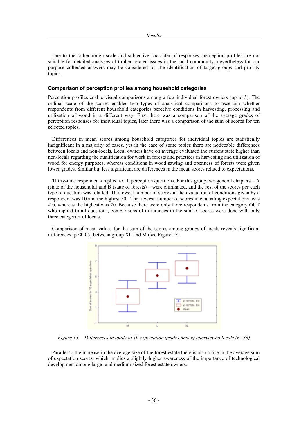Due to the rather rough scale and subjective character of responses, perception profiles are not suitable for detailed analyses of timber related issues in the local community; nevertheless for our purpose collected answers may be considered for the identification of target groups and priority topics.

#### **Comparison of perception profiles among household categories**

Perception profiles enable visual comparisons among a few individual forest owners (up to 5). The ordinal scale of the scores enables two types of analytical comparisons to ascertain whether respondents from different household categories perceive conditions in harvesting, processing and utilization of wood in a different way. First there was a comparison of the average grades of perception responses for individual topics, later there was a comparison of the sum of scores for ten selected topics.

Differences in mean scores among household categories for individual topics are statistically insignificant in a majority of cases, yet in the case of some topics there are noticeable differences between locals and non-locals. Local owners have on average evaluated the current state higher than non-locals regarding the qualification for work in forests and practices in harvesting and utilization of wood for energy purposes, whereas conditions in wood sawing and openness of forests were given lower grades. Similar but less significant are differences in the mean scores related to expectations.

Thirty-nine respondents replied to all perception questions. For this group two general chapters  $-A$ (state of the household) and B (state of forests) – were eliminated, and the rest of the scores per each type of question was totalled. The lowest number of scores in the evaluation of conditions given by a respondent was 10 and the highest 50. The fewest number of scores in evaluating expectations was -10, whereas the highest was 20. Because there were only three respondents from the category OUT who replied to all questions, comparisons of differences in the sum of scores were done with only three categories of locals.

Comparison of mean values for the sum of the scores among groups of locals reveals significant differences ( $p \le 0.05$ ) between group XL and M (see Figure 15).

![](_page_42_Figure_7.jpeg)

*Figure 15. Differences in totals of 10 expectation grades among interviewed locals (n=36)* 

Parallel to the increase in the average size of the forest estate there is also a rise in the average sum of expectation scores, which implies a slightly higher awareness of the importance of technological development among large- and medium-sized forest estate owners.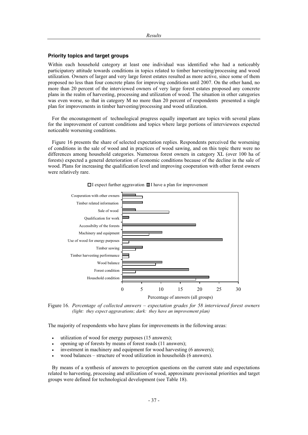#### **Priority topics and target groups**

Within each household category at least one individual was identified who had a noticeably participatory attitude towards conditions in topics related to timber harvesting/processing and wood utilization. Owners of larger and very large forest estates resulted as more active, since some of them proposed no less than four concrete plans for improving conditions until 2007. On the other hand, no more than 20 percent of the interviewed owners of very large forest estates proposed any concrete plans in the realm of harvesting, processing and utilization of wood. The situation in other categories was even worse, so that in category M no more than 20 percent of respondents presented a single plan for improvements in timber harvesting/processing and wood utilization.

For the encouragement of technological progress equally important are topics with several plans for the improvement of current conditions and topics where large portions of interviewees expected noticeable worsening conditions.

Figure 16 presents the share of selected expectation replies. Respondents perceived the worsening of conditions in the sale of wood and in practices of wood sawing, and on this topic there were no differences among household categories. Numerous forest owners in category XL (over 100 ha of forests) expected a general deterioration of economic conditions because of the decline in the sale of wood. Plans for increasing the qualification level and improving cooperation with other forest owners were relatively rare.

![](_page_43_Figure_5.jpeg)

 $\Box$  I expect further aggravation  $\Box$  I have a plan for improvement

Figure 16. *Percentage of collected answers – expectation grades for 58 interviewed forest owners (light: they expect aggravations; dark: they have an improvement plan)*

The majority of respondents who have plans for improvements in the following areas:

- utilization of wood for energy purposes (15 answers);
- opening up of forests by means of forest roads (11 answers);
- investment in machinery and equipment for wood harvesting (6 answers);
- x wood balances structure of wood utilization in households (6 answers).

By means of a synthesis of answers to perception questions on the current state and expectations related to harvesting, processing and utilization of wood, approximate provisonal priorities and target groups were defined for technological development (see Table 18).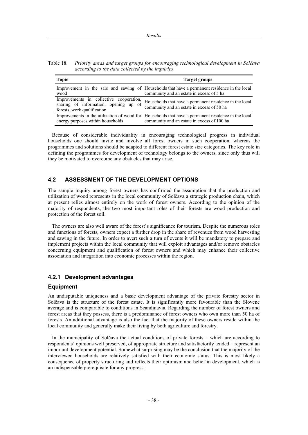Table 18. *Priority areas and target groups for encouraging technological development in Solþava according to the data collected by the inquiries* 

| <b>Topic</b>                                                                                                       | Target groups                                                                                                                                      |
|--------------------------------------------------------------------------------------------------------------------|----------------------------------------------------------------------------------------------------------------------------------------------------|
| wood                                                                                                               | Improvement in the sale and sawing of Households that have a permanent residence in the local<br>community and an estate in excess of 5 ha         |
| Improvements in collective cooperation,<br>of<br>sharing of information, opening up<br>forests, work qualification | Households that have a permanent residence in the local<br>community and an estate in excess of 50 ha                                              |
| energy purposes within households                                                                                  | Improvements in the utilization of wood for Households that have a permanent residence in the local<br>community and an estate in excess of 100 ha |

Because of considerable individuality in encouraging technological progress in individual households one should invite and involve all forest owners in such cooperation, whereas the programmes and solutions should be adapted to different forest estate size categories. The key role in defining the programmes for development of technology belongs to the owners, since only thus will they be motivated to overcome any obstacles that may arise.

# **4.2 ASSESSMENT OF THE DEVELOPMENT OPTIONS**

The sample inquiry among forest owners has confirmed the assumption that the production and utilization of wood represents in the local community of Solčava a strategic production chain, which at present relies almost entirely on the work of forest owners. According to the opinion of the majority of respondents, the two most important roles of their forests are wood production and protection of the forest soil.

The owners are also well aware of the forest's significance for tourism. Despite the numerous roles and functions of forests, owners expect a further drop in the share of revenues from wood harvesting and sawing in the future. In order to avert such a turn of events it will be mandatory to prepare and implement projects within the local community that will exploit advantages and/or remove obstacles concerning equipment and qualification of forest owners and which may enhance their collective association and integration into economic processes within the region.

#### **4.2.1 Development advantages**

#### **Equipment**

An undisputable uniqueness and a basic development advantage of the private forestry sector in Solčava is the structure of the forest estate. It is significantly more favourable than the Slovene average and is comparable to conditions in Scandinavia. Regarding the number of forest owners and forest areas that they possess, there is a predominance of forest owners who own more than 50 ha of forests. An additional advantage is also the fact that the majority of these owners reside within the local community and generally make their living by both agriculture and forestry.

In the municipality of Solčava the actual conditions of private forests  $-$  which are according to respondents' opinions well preserved, of appropriate structure and satisfactorily tended – represent an important development potential. Somewhat surprising may be the conclusion that the majority of the interviewed households are relatively satisfied with their economic status. This is most likely a consequence of property structuring and reflects their optimism and belief in development, which is an indispensable prerequisite for any progress.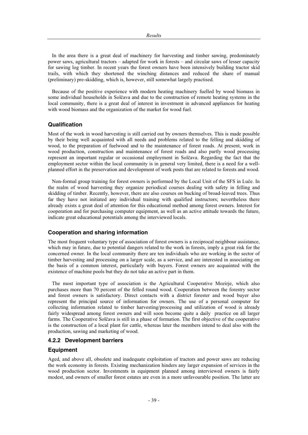In the area there is a great deal of machinery for harvesting and timber sawing, predominately power saws, agricultural tractors – adapted for work in forests – and circular saws of lesser capacity for sawing log timber. In recent years the forest owners have been intensively building tractor skid trails, with which they shortened the winching distances and reduced the share of manual (preliminary) pre-skidding, which is, however, still somewhat largely practised.

Because of the positive experience with modern heating machinery fuelled by wood biomass in some individual households in Solčava and due to the construction of remote heating systems in the local community, there is a great deal of interest in investment in advanced appliances for heating with wood biomass and the organization of the market for wood fuel.

#### **Qualification**

Most of the work in wood harvesting is still carried out by owners themselves. This is made possible by their being well acquainted with all needs and problems related to the felling and skidding of wood, to the preparation of fuelwood and to the maintenance of forest roads. At present, work in wood production, construction and maintenance of forest roads and also partly wood processing represent an important regular or occasional employment in Solčava. Regarding the fact that the employment sector within the local community is in general very limited, there is a need for a wellplanned effort in the preservation and development of work posts that are related to forests and wood.

Non-formal group training for forest owners is performed by the Local Unit of the SFS in Luče. In the realm of wood harvesting they organize periodical courses dealing with safety in felling and skidding of timber. Recently, however, there are also courses on bucking of broad-leaved trees. Thus far they have not initiated any individual training with qualified instructors; nevertheless there already exists a great deal of attention for this educational method among forest owners. Interest for cooperation and for purchasing computer equipment, as well as an active attitude towards the future, indicate great educational potentials among the interviewed locals.

#### **Cooperation and sharing information**

The most frequent voluntary type of association of forest owners is a reciprocal neighbour assistance, which may in future, due to potential dangers related to the work in forests, imply a great risk for the concerned owner. In the local community there are ten individuals who are working in the sector of timber harvesting and processing on a larger scale, as a service, and are interested in associating on the basis of a common interest, particularly with buyers. Forest owners are acquainted with the existence of machine pools but they do not take an active part in them.

The most important type of association is the Agricultural Cooperative Mozirje, which also purchases more than 70 percent of the felled round wood. Cooperation between the forestry sector and forest owners is satisfactory. Direct contacts with a district forester and wood buyer also represent the principal source of information for owners. The use of a personal computer for collecting information related to timber harvesting/processing and utilization of wood is already fairly widespread among forest owners and will soon become quite a daily practice on all larger farms. The Cooperative Solčava is still in a phase of formation. The first objective of the cooperative is the construction of a local plant for cattle, whereas later the members intend to deal also with the production, sawing and marketing of wood.

#### **4.2.2 Development barriers**

#### **Equipment**

Aged, and above all, obsolete and inadequate exploitation of tractors and power saws are reducing the work economy in forests. Existing mechanization hinders any larger expansion of services in the wood production sector. Investments in equipment planned among interviewed owners is fairly modest, and owners of smaller forest estates are even in a more unfavourable position. The latter are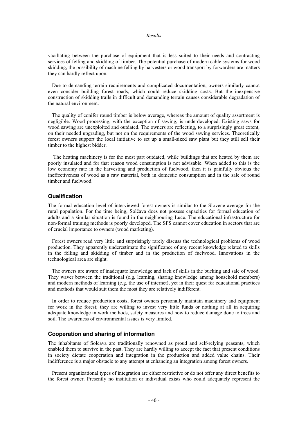vacillating between the purchase of equipment that is less suited to their needs and contracting services of felling and skidding of timber. The potential purchase of modern cable systems for wood skidding, the possibility of machine felling by harvesters or wood transport by forwarders are matters they can hardly reflect upon.

Due to demanding terrain requirements and complicated documentation, owners similarly cannot even consider building forest roads, which could reduce skidding costs. But the inexpensive construction of skidding trails in difficult and demanding terrain causes considerable degradation of the natural environment.

The quality of conifer round timber is below average, whereas the amount of quality assortment is negligible. Wood processing, with the exception of sawing, is underdeveloped. Existing saws for wood sawing are unexploited and outdated. The owners are reflecting, to a surprisingly great extent, on their needed upgrading, but not on the requirements of the wood sawing services. Theoretically forest owners support the local initiative to set up a small-sized saw plant but they still sell their timber to the highest bidder.

 The heating machinery is for the most part outdated, while buildings that are heated by them are poorly insulated and for that reason wood consumption is not advisable. When added to this is the low economy rate in the harvesting and production of fuelwood, then it is painfully obvious the ineffectiveness of wood as a raw material, both in domestic consumption and in the sale of round timber and fuelwood.

# **Qualification**

The formal education level of interviewed forest owners is similar to the Slovene average for the rural population. For the time being, Solčava does not possess capacities for formal education of adults and a similar situation is found in the neighbouring Luče. The educational infrastructure for non-formal training methods is poorly developed. The SFS cannot cover education in sectors that are of crucial importance to owners (wood marketing).

Forest owners read very little and surprisingly rarely discuss the technological problems of wood production. They apparently underestimate the significance of any recent knowledge related to skills in the felling and skidding of timber and in the production of fuelwood. Innovations in the technological area are slight.

The owners are aware of inadequate knowledge and lack of skills in the bucking and sale of wood. They waver between the traditional (e.g. learning, sharing knowledge among household members) and modern methods of learning (e.g. the use of internet), yet in their quest for educational practices and methods that would suit them the most they are relatively indifferent.

In order to reduce production costs, forest owners personally maintain machinery and equipment for work in the forest; they are willing to invest very little funds or nothing at all in acquiring adequate knowledge in work methods, safety measures and how to reduce damage done to trees and soil. The awareness of environmental issues is very limited.

#### **Cooperation and sharing of information**

The inhabitants of Solčava are traditionally renowned as proud and self-relying peasants, which enabled them to survive in the past. They are hardly willing to accept the fact that present conditions in society dictate cooperation and integration in the production and added value chains. Their indifference is a major obstacle to any attempt at enhancing an integration among forest owners.

Present organizational types of integration are either restrictive or do not offer any direct benefits to the forest owner. Presently no institution or individual exists who could adequately represent the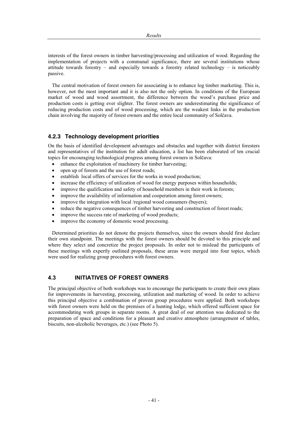interests of the forest owners in timber harvesting/processing and utilization of wood. Regarding the implementation of projects with a communal significance, there are several institutions whose attitude towards forestry – and especially towards a forestry related technology – is noticeably passive.

The central motivation of forest owners for associating is to enhance log timber marketing. This is, however, not the most important and it is also not the only option. In conditions of the European market of wood and wood assortment, the difference between the wood's purchase price and production costs is getting ever slighter. The forest owners are underestimating the significance of reducing production costs and of wood processing, which are the weakest links in the production chain involving the majority of forest owners and the entire local community of Solčava.

# **4.2.3 Technology development priorities**

On the basis of identified development advantages and obstacles and together with district foresters and representatives of the institution for adult education, a list has been elaborated of ten crucial topics for encouraging technological progress among forest owners in Solčava:

- $\bullet$  enhance the exploitation of machinery for timber harvesting;
- open up of forests and the use of forest roads;
- establish local offers of services for the works in wood production;
- increase the efficiency of utilization of wood for energy purposes within households;
- improve the qualification and safety of household members in their work in forests;
- improve the availability of information and cooperation among forest owners;
- improve the integration with local /regional wood consumers (buyers);
- reduce the negative consequences of timber harvesting and construction of forest roads;
- improve the success rate of marketing of wood products;
- improve the economy of domestic wood processing.

Determined priorities do not denote the projects themselves, since the owners should first declare their own standpoint. The meetings with the forest owners should be devoted to this principle and where they select and concretize the project proposals. In order not to mislead the participants of these meetings with expertly outlined proposals, these areas were merged into four topics, which were used for realizing group procedures with forest owners.

# **4.3 INITIATIVES OF FOREST OWNERS**

The principal objective of both workshops was to encourage the participants to create their own plans for improvements in harvesting, processing, utilization and marketing of wood. In order to achieve this principal objective a combination of proven group procedures were applied. Both workshops with forest owners were held on the premises of a hunting lodge, which offered sufficient space for accommodating work groups in separate rooms. A great deal of our attention was dedicated to the preparation of space and conditions for a pleasant and creative atmosphere (arrangement of tables, biscuits, non-alcoholic beverages, etc.) (see Photo 5).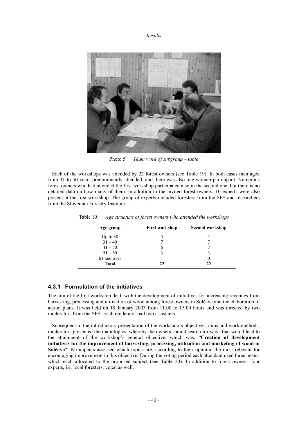![](_page_48_Picture_1.jpeg)

Photo 5. *Team work of subgroup – table* 

Each of the workshops was attended by 22 forest owners (see Table 19). In both cases men aged from 31 to 50 years predominantly attended, and there was also one woman participant. Numerous forest owners who had attended the first workshop participated also in the second one, but there is no detailed data on how many of them. In addition to the invited forest owners, 10 experts were also present at the first workshop. The group of experts included foresters from the SFS and researchers from the Slovenian Forestry Institute.

| Age group    | <b>First workshop</b> | Second workshop |
|--------------|-----------------------|-----------------|
| Up to 30     |                       |                 |
| $31 - 40$    |                       |                 |
| $41 - 50$    | O                     |                 |
| $51 - 60$    | 3                     |                 |
| 61 and over  |                       |                 |
| <b>Total</b> | 22                    | 22              |

Table 19. *Age structure of forest owners who attended the workshops* 

# **4.3.1 Formulation of the initiatives**

The aim of the first workshop dealt with the development of initiatives for increasing revenues from harvesting, processing and utilization of wood among forest owners in Solčava and the elaboration of action plans. It was held on 18 January 2003 from 11.00 to 15.00 hours and was directed by two moderators from the SFS. Each moderator had two assistants.

Subsequent to the introductory presentation of the workshop's objectives, aims and work methods, moderators presented the main topics, whereby the owners should search for ways that would lead to the attainment of the workshop's general objective, which was: "**Creation of development initiatives for the improvement of harvesting, processing, utilization and marketing of wood in Solčava".** Participants assessed which topics are, according to their opinion, the most relevant for encouraging improvement in this objective. During the voting period each attendant used three beans, which each allocated to the proposed subject (see Table 20). In addition to forest owners, four experts, i.e. local foresters, voted as well.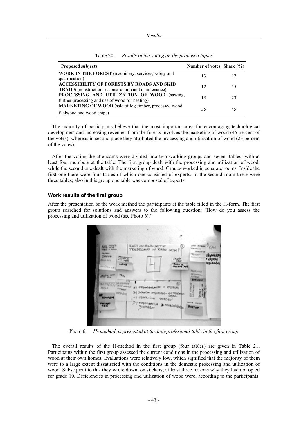| <b>Proposed subjects</b>                                                                                          | Number of votes Share $(\% )$ |    |
|-------------------------------------------------------------------------------------------------------------------|-------------------------------|----|
| <b>WORK IN THE FOREST</b> (machinery, services, safety and<br>qualification)                                      | 13                            | 17 |
| <b>ACCESSIBILITY OF FORESTS BY ROADS AND SKID</b><br><b>TRAILS</b> (construction, reconstruction and maintenance) | 12                            | 15 |
| PROCESSING AND UTILIZATION OF WOOD (sawing,<br>further processing and use of wood for heating)                    | 18                            | 23 |
| MARKETING OF WOOD (sale of log-timber, processed wood<br>fuelwood and wood chips)                                 | 35                            | 45 |

Table 20. *Results of the voting on the proposed topics* 

The majority of participants believe that the most important area for encouraging technological development and increasing revenues from the forests involves the marketing of wood (45 percent of the votes), whereas in second place they attributed the processing and utilization of wood (23 percent of the votes).

After the voting the attendants were divided into two working groups and seven 'tables' with at least four members at the table. The first group dealt with the processing and utilization of wood, while the second one dealt with the marketing of wood. Groups worked in separate rooms. Inside the first one there were four tables of which one consisted of experts. In the second room there were three tables; also in this group one table was composed of experts.

# **Work results of the first group**

After the presentation of the work method the participants at the table filled in the H-form. The first group searched for solutions and answers to the following question: 'How do you assess the processing and utilization of wood (see Photo 6)?'

![](_page_49_Figure_7.jpeg)

Photo 6. *H- method as presented at the non-profesional table in the first group* 

The overall results of the H-method in the first group (four tables) are given in Table 21. Participants within the first group assessed the current conditions in the processing and utilization of wood at their own homes. Evaluations were relatively low, which signified that the majority of them were to a large extent dissatisfied with the conditions in the domestic processing and utilization of wood. Subsequent to this they wrote down, on stickers, at least three reasons why they had not opted for grade 10. Deficiencies in processing and utilization of wood were, according to the participants: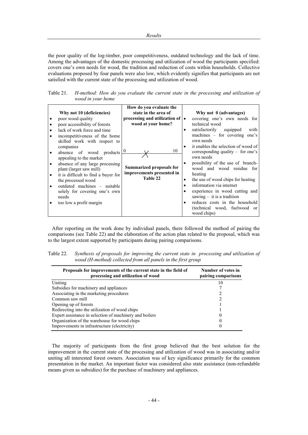the poor quality of the log-timber, poor competitiveness, outdated technology and the lack of time. Among the advantages of the domestic processing and utilization of wood the participants specified: covers one's own needs for wood, the tradition and reduction of costs within households. Collective evaluations proposed by four panels were also low, which evidently signifies that participants are not satisfied with the current state of the processing and utilization of wood.

Table 21. *H-method: How do you evaluate the current state in the processing and utilization of wood in your home* 

|           |                                     | How do you evaluate the               |   |                                     |
|-----------|-------------------------------------|---------------------------------------|---|-------------------------------------|
|           | Why not 10 (deficiencies)           | state in the area of                  |   | Why not 0 (advantages)              |
| $\bullet$ | poor wood quality                   | processing and utilization of $\cdot$ |   | covering one's own needs for        |
| $\bullet$ | poor accessibility of forests       | wood at your home?                    |   | technical wood                      |
| $\bullet$ | lack of work force and time         |                                       |   | satisfactorily equipped<br>with     |
| $\bullet$ | incompetitiveness of the home       |                                       |   | machines $-$ for covering one's     |
|           | skilled work with respect to        |                                       |   | own needs                           |
|           | companies                           |                                       | ٠ | it enables the selection of wood of |
| $\bullet$ | absence of wood products            | 10<br>$\mathbf{0}$                    |   | corresponding quality – for one's   |
|           | appealing to the market             |                                       |   | own needs                           |
|           | absence of any large processing     |                                       |   | possibility of the use of branch-   |
|           | plant (larger saw mill)             | Summarized proposals for              |   | wood and wood residue for           |
| $\bullet$ | it is difficult to find a buyer for | improvements presented in             |   | heating                             |
|           | the processed wood                  | Table 22                              | ٠ | the use of wood chips for heating   |
| $\bullet$ | outdated machines – suitable        |                                       |   | information via internet            |
|           | solely for covering one's own       |                                       |   | experience in wood cutting and      |
|           | needs                               |                                       |   | sawing $-$ it is a tradition        |
|           | too low a profit margin             |                                       |   | reduces costs in the household      |
|           |                                     |                                       |   | (technical wood, fuelwood or        |
|           |                                     |                                       |   | wood chips)                         |

After reporting on the work done by individual panels, there followed the method of pairing the comparisons (see Table 22) and the elaboration of the action plan related to the proposal, which was to the largest extent supported by participants during pairing comparisons.

| Table 22. Synthesis of proposals for improving the current state in processing and utilization of |
|---------------------------------------------------------------------------------------------------|
| wood (H-method) collected from all panels in the first group                                      |

| Proposals for improvements of the current state in the field of<br>processing and utilization of wood | Number of votes in<br>pairing comparisons |
|-------------------------------------------------------------------------------------------------------|-------------------------------------------|
| Uniting                                                                                               | 10                                        |
| Subsidies for machinery and appliances                                                                |                                           |
| Associating in the marketing procedures                                                               |                                           |
| Common saw mill                                                                                       |                                           |
| Opening up of forests                                                                                 |                                           |
| Redirecting into the utilization of wood chips                                                        |                                           |
| Expert assistance in selection of machinery and boilers                                               | 0                                         |
| Organization of the warehouse for wood chips                                                          | $_{0}$                                    |
| Improvements in infrastructure (electricity)                                                          | 0                                         |

The majority of participants from the first group believed that the best solution for the improvement in the current state of the processing and utilization of wood was in associating and/or uniting all interested forest owners. Association was of key significance primarily for the common presentation in the market. An important factor was considered also state assistance (non-refundable means given as subsidies) for the purchase of machinery and appliances.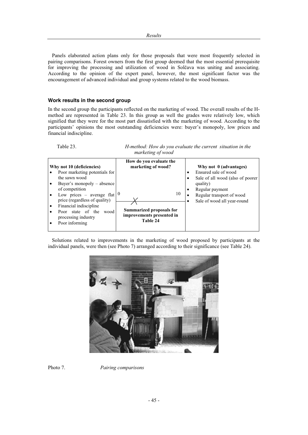Panels elaborated action plans only for those proposals that were most frequently selected in pairing comparisons. Forest owners from the first group deemed that the most essential prerequisite for improving the processing and utilization of wood in Solčava was uniting and associating. According to the opinion of the expert panel, however, the most significant factor was the encouragement of advanced individual and group systems related to the wood biomass.

# **Work results in the second group**

In the second group the participants reflected on the marketing of wood. The overall results of the Hmethod are represented in Table 23. In this group as well the grades were relatively low, which signified that they were for the most part dissatisfied with the marketing of wood. According to the participants' opinions the most outstanding deficiencies were: buyer's monopoly, low prices and financial indiscipline.

Table 23. *H-method: How do you evaluate the current situation in the marketing of wood* 

| Why not 10 (deficiencies)                                                                    | How do you evaluate the<br>marketing of wood?                            | Why not 0 (advantages)                                                    |
|----------------------------------------------------------------------------------------------|--------------------------------------------------------------------------|---------------------------------------------------------------------------|
| Poor marketing potentials for<br>the sawn wood                                               |                                                                          | Ensured sale of wood<br>٠                                                 |
| Buyer's monopoly $-$ absence<br>of competition                                               |                                                                          | Sale of all wood (also of poorer<br>٠<br>quality)<br>Regular payment<br>٠ |
| Low prices – average flat<br>price (regardless of quality)                                   | 10<br>$\bf{0}$                                                           | Regular transport of wood<br>٠<br>Sale of wood all year-round             |
| Financial indiscipline<br>Poor state of the<br>wood<br>processing industry<br>Poor informing | <b>Summarized proposals for</b><br>improvements presented in<br>Table 24 |                                                                           |

Solutions related to improvements in the marketing of wood proposed by participants at the individual panels, were then (see Photo 7) arranged according to their significance (see Table 24).

![](_page_51_Picture_7.jpeg)

Photo 7. *Pairing comparisons*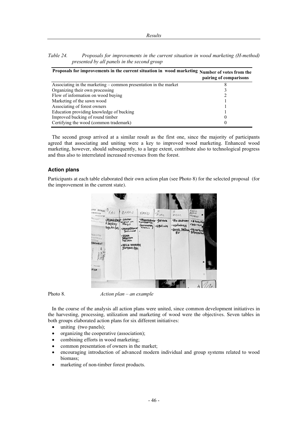| Table 24. | Proposals for improvements in the current situation in wood marketing (H-method) |  |
|-----------|----------------------------------------------------------------------------------|--|
|           | presented by all panels in the second group                                      |  |

| Proposals for improvements in the current situation in wood marketing Number of votes from the | pairing of comparisons |
|------------------------------------------------------------------------------------------------|------------------------|
| Associating in the marketing – common presentation in the market                               |                        |
| Organizing their own processing                                                                |                        |
| Flow of information on wood buying                                                             |                        |
| Marketing of the sawn wood                                                                     |                        |
| Associating of forest owners                                                                   |                        |
| Education providing knowledge of bucking                                                       |                        |
| Improved bucking of round timber                                                               | 0                      |
| Certifying the wood (common trademark)                                                         | $\theta$               |

The second group arrived at a similar result as the first one, since the majority of participants agreed that associating and uniting were a key to improved wood marketing. Enhanced wood marketing, however, should subsequently, to a large extent, contribute also to technological progress and thus also to interrelated increased revenues from the forest.

#### **Action plans**

Participants at each table elaborated their own action plan (see Photo 8) for the selected proposal (for the improvement in the current state).

![](_page_52_Picture_6.jpeg)

Photo 8. *Action plan – an example* 

In the course of the analysis all action plans were united, since common development initiatives in the harvesting, processing, utilization and marketing of wood were the objectives. Seven tables in both groups elaborated action plans for six different initiatives:

- $\bullet$  uniting (two panels);
- organizing the cooperative (association);
- combining efforts in wood marketing;
- common presentation of owners in the market;
- x encouraging introduction of advanced modern individual and group systems related to wood biomass;
- marketing of non-timber forest products.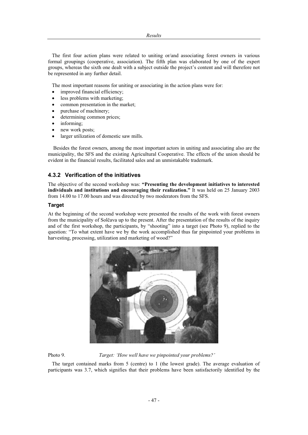The first four action plans were related to uniting or/and associating forest owners in various formal groupings (cooperative, association). The fifth plan was elaborated by one of the expert groups, whereas the sixth one dealt with a subject outside the project's content and will therefore not be represented in any further detail.

The most important reasons for uniting or associating in the action plans were for:

- improved financial efficiency;
- less problems with marketing;
- common presentation in the market;
- purchase of machinery;
- determining common prices;
- informing:
- new work posts;
- larger utilization of domestic saw mills.

 Besides the forest owners, among the most important actors in uniting and associating also are the municipality, the SFS and the existing Agricultural Cooperative. The effects of the union should be evident in the financial results, facilitated sales and an unmistakable trademark.

# **4.3.2 Verification of the initiatives**

The objective of the second workshop was: **"Presenting the development initiatives to interested individuals and institutions and encouraging their realization."** It was held on 25 January 2003 from 14.00 to 17.00 hours and was directed by two moderators from the SFS.

#### **Target**

At the beginning of the second workshop were presented the results of the work with forest owners from the municipality of Solčava up to the present. After the presentation of the results of the inquiry and of the first workshop, the participants, by "shooting" into a target (see Photo 9), replied to the question: "To what extent have we by the work accomplished thus far pinpointed your problems in harvesting, processing, utilization and marketing of wood?"

![](_page_53_Picture_16.jpeg)

Photo 9. *Target: 'How well have we pinpointed your problems?'* 

The target contained marks from 5 (centre) to 1 (the lowest grade). The average evaluation of participants was 3.7, which signifies that their problems have been satisfactorily identified by the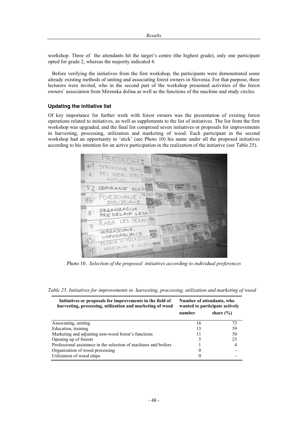workshop. Three of the attendants hit the target's centre (the highest grade), only one participant opted for grade 2, whereas the majority indicated 4.

Before verifying the initiatives from the first workshop, the participants were demonstrated some already existing methods of uniting and associating forest owners in Slovenia. For that purpose, three lecturers were invited, who in the second part of the workshop presented activities of the forest owners' association from Mirenska dolina as well as the functions of the machine and study circles.

#### **Updating the initiative list**

Of key importance for further work with forest owners was the presentation of existing forest operations related to initiatives, as well as supplements to the list of initiatives. The list from the first workshop was upgraded, and the final list comprised seven initiatives or proposals for improvements in harvesting, processing, utilization and marketing of wood. Each participant in the second workshop had an opportunity to 'stick' (see Photo 10) his name under all the proposed initiatives according to his intention for an active participation in the realization of the initiative (see Table 25).

![](_page_54_Picture_5.jpeg)

Photo 10. *Selection of the proposed initiatives according to individual preferences* 

| Initiatives or proposals for improvements in the field of<br>harvesting, processing, utilization and marketing of wood | Number of attendants, who<br>wanted to participate actively |               |
|------------------------------------------------------------------------------------------------------------------------|-------------------------------------------------------------|---------------|
|                                                                                                                        | number                                                      | share $(\% )$ |
| Associating, uniting                                                                                                   | 16                                                          | 73            |
| Education, training                                                                                                    | 13                                                          | 59            |
| Marketing and adjusting non-wood forest's functions                                                                    |                                                             | 50            |
| Opening up of forests                                                                                                  |                                                             | 23            |
| Professional assistance in the selection of machines and boilers                                                       |                                                             |               |
| Organization of wood processing                                                                                        |                                                             |               |
| Utilization of wood chips                                                                                              |                                                             |               |

|  | Table 25. Initiatives for improvements in harvesting, processing, utilization and marketing of wood |
|--|-----------------------------------------------------------------------------------------------------|
|  |                                                                                                     |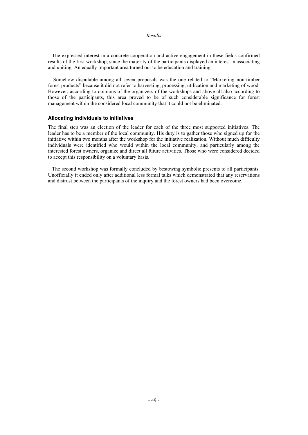The expressed interest in a concrete cooperation and active engagement in these fields confirmed results of the first workshop, since the majority of the participants displayed an interest in associating and uniting. An equally important area turned out to be education and training.

 Somehow disputable among all seven proposals was the one related to "Marketing non-timber forest products" because it did not refer to harvesting, processing, utilization and marketing of wood. However, according to opinions of the organizers of the workshops and above all also according to those of the participants, this area proved to be of such considerable significance for forest management within the considered local community that it could not be eliminated.

#### **Allocating individuals to initiatives**

The final step was an election of the leader for each of the three most supported initiatives. The leader has to be a member of the local community. His duty is to gather those who signed up for the initiative within two months after the workshop for the initiative realization. Without much difficulty individuals were identified who would within the local community, and particularly among the interested forest owners, organize and direct all future activities. Those who were considered decided to accept this responsibility on a voluntary basis.

The second workshop was formally concluded by bestowing symbolic presents to all participants. Unofficially it ended only after additional less formal talks which demonstrated that any reservations and distrust between the participants of the inquiry and the forest owners had been overcome.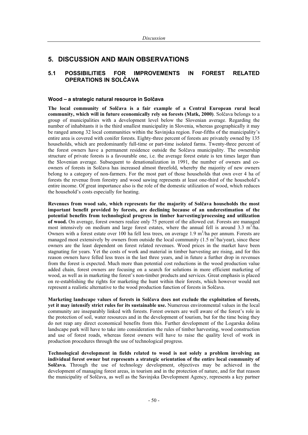# **5. DISCUSSION AND MAIN OBSERVATIONS**

# **5.1 POSSIBILITIES FOR IMPROVEMENTS IN FOREST RELATED OPERATIONS IN SOLýAVA**

#### **Wood – a strategic natural resource in Solìava**

**The local community of Solþava is a fair example of a Central European rural local community, which will in future economically rely on forests (Matk, 2000)**. Solčava belongs to a group of municipalities with a development level below the Slovenian average. Regarding the number of inhabitants it is the third smallest municipality in Slovenia, whereas geographically it may be ranged among 32 local communities within the Savinjska region. Four-fifths of the municipality's entire area is covered with conifer forests. Eighty-three percent of forests are privately owned by 135 households, which are predominantly full-time or part-time isolated farms. Twenty-three percent of the forest owners have a permanent residence outside the Solčava municipality. The ownership structure of private forests is a favourable one, i.e. the average forest estate is ten times larger than the Slovenian average. Subsequent to denationalization in 1991, the number of owners and coowners of forests in Solčava has increased almost threefold, whereby the majority of new owners belong to a category of non-farmers. For the most part of those households that own over 4 ha of forests the revenue from forestry and wood sawing represents at least one-third of the household's entire income. Of great importance also is the role of the domestic utilization of wood, which reduces the household's costs especially for heating.

**Revenues from wood sale, which represents for the majority of Solþava households the most important benefit provided by forests, are declining because of an underestimation of the potential benefits from technological progress in timber harvesting/processing and utilization of wood.** On average, forest owners realize only 75 percent of the allowed cut. Forests are managed most intensively on medium and large forest estates, where the annual fell is around  $3.3 \text{ m}^3/\text{ha}$ . Owners with a forest estate over 100 ha fell less trees, on average 1.9  $m<sup>3</sup>/h$ a per annum. Forests are managed most extensively by owners from outside the local community  $(1.5 \text{ m}^3/\text{ha/year})$ , since these owners are the least dependent on forest related revenues. Wood prices in the market have been stagnating for years. Yet the costs of work and material in timber harvesting are rising, and for this reason owners have felled less trees in the last three years, and in future a further drop in revenues from the forest is expected. Much more than potential cost reductions in the wood production value added chain, forest owners are focusing on a search for solutions in more efficient marketing of wood, as well as in marketing the forest's non-timber products and services. Great emphasis is placed on re-establishing the rights for marketing the hunt within their forests, which however would not represent a realistic alternative to the wood production function of forests in Solčava.

**Marketing landscape values of forests in Solþava does not exclude the exploitation of forests, yet it may intensify strict rules for its sustainable use.** Numerous environmental values in the local community are inseparably linked with forests. Forest owners are well aware of the forest's role in the protection of soil, water resources and in the development of tourism, but for the time being they do not reap any direct economical benefits from this. Further development of the Logarska dolina landscape park will have to take into consideration the rules of timber harvesting, wood construction and use of forest roads, whereas forest owners will have to raise the quality level of work in production procedures through the use of technological progress.

**Technological development in fields related to wood is not solely a problem involving an individual forest owner but represents a strategic orientation of the entire local community of Solčava.** Through the use of technology development, objectives may be achieved in the development of managing forest areas, in tourism and in the protection of nature, and for that reason the municipality of Solčava, as well as the Savinjska Development Agency, represents a key partner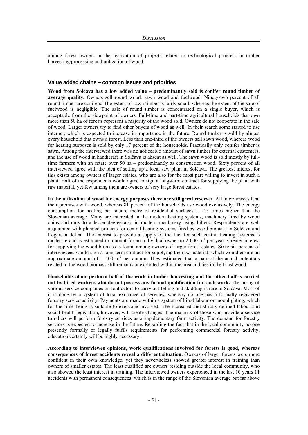among forest owners in the realization of projects related to technological progress in timber harvesting/processing and utilization of wood.

#### **Value added chains – common issues and priorities**

**Wood from Solþava has a low added value – predominantly sold is conifer round timber of average quality.** Owners sell round wood, sawn wood and fuelwood. Ninety-two percent of all round timber are conifers. The extent of sawn timber is fairly small, whereas the extent of the sale of fuelwood is negligible. The sale of round timber is concentrated on a single buyer, which is acceptable from the viewpoint of owners. Full-time and part-time agricultural households that own more than 50 ha of forests represent a majority of the wood sold. Owners do not cooperate in the sale of wood. Larger owners try to find other buyers of wood as well. In their search some started to use internet, which is expected to increase in importance in the future. Round timber is sold by almost every household that owns a forest. Less than one-third of the owners sell sawn wood, whereas wood for heating purposes is sold by only 17 percent of the households. Practically only conifer timber is sawn. Among the interviewed there was no noticeable amount of sawn timber for external customers, and the use of wood in handicraft in Solčava is absent as well. The sawn wood is sold mostly by fulltime farmers with an estate over 50 ha – predominantly as construction wood. Sixty percent of all interviewed agree with the idea of setting up a local saw plant in Solčava. The greatest interest for this exists among owners of larger estates, who are also for the most part willing to invest in such a plant. Half of the respondents would agree to sign a long-term contract for supplying the plant with raw material, yet few among them are owners of very large forest estates.

**In the utilization of wood for energy purposes there are still great reserves.** All interviewees heat their premises with wood, whereas 81 percent of the households use wood exclusively. The energy consumption for heating per square metre of residential surfaces is 2.5 times higher than the Slovenian average. Many are interested in the modern heating systems, machinery fired by wood chips and only to a lesser degree also in modern machinery using billets. Respondents are well acquainted with planned projects for central heating systems fired by wood biomass in Solčava and Logarska dolina. The interest to provide a supply of the fuel for such central heating systems is moderate and is estimated to amount for an individual owner to 2 000  $m<sup>3</sup>$  per year. Greater interest for supplying the wood biomass is found among owners of larger forest estates. Sixty-six percent of interviewees would sign a long-term contract for supplying the raw material, which would ensure an approximate amount of  $1\,400\,$  m<sup>3</sup> per annum. They estimated that a part of the actual potentials related to the wood biomass still remains unexploited within the area and lies in the brushwood.

**Households alone perform half of the work in timber harvesting and the other half is carried out by hired workers who do not possess any formal qualification for such work.** The hiring of various service companies or contractors to carry out felling and skidding is rare in Solčava. Most of it is done by a system of local exchange of services, whereby no one has a formally registered forestry service activity. Payments are made within a system of hired labour or moonlighting, which for the time being is suitable to everyone involved. The increased and strictly defined labour and social-health legislation, however, will create changes. The majority of those who provide a service to others will perform forestry services as a supplementary farm activity. The demand for forestry services is expected to increase in the future. Regarding the fact that in the local community no one presently formally or legally fulfils requirements for performing commercial forestry activity, education certainly will be highly necessary.

**According to interviewee opinions, work qualifications involved for forests is good, whereas consequences of forest accidents reveal a different situation.** Owners of larger forests were more confident in their own knowledge, yet they nevertheless showed greater interest in training than owners of smaller estates. The least qualified are owners residing outside the local community, who also showed the least interest in training. The interviewed owners experienced in the last 10 years 11 accidents with permanent consequences, which is in the range of the Slovenian average but far above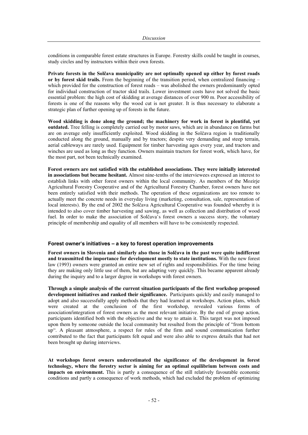conditions in comparable forest estate structures in Europe. Forestry skills could be taught in courses, study circles and by instructors within their own forests.

**Private forests in the Solþava municipality are not optimally opened up either by forest roads or by forest skid trails.** From the beginning of the transition period, when centralized financing – which provided for the construction of forest roads – was abolished the owners predominantly opted for individual construction of tractor skid trails. Lower investment costs have not solved the basic essential problem: the high cost of skidding at average distances of over 900 m. Poor accessibility of forests is one of the reasons why the wood cut is not greater. It is thus necessary to elaborate a strategic plan of further opening up of forests in the future.

**Wood skidding is done along the ground; the machinery for work in forest is plentiful, yet outdated.** Tree felling is completely carried out by motor saws, which are in abundance on farms but are on average only insufficiently exploited. Wood skidding in the Solčava region is traditionally conducted along the ground, manually and by tractors; despite very demanding and steep terrain, aerial cableways are rarely used. Equipment for timber harvesting ages every year, and tractors and winches are used as long as they function. Owners maintain tractors for forest work, which have, for the most part, not been technically examined.

**Forest owners are not satisfied with the established associations. They were initially interested in associations but became hesitant.** Almost nine-tenths of the interviewees expressed an interest to establish links with other forest owners within the local community. As members of the Mozirje Agricultural Forestry Cooperative and of the Agricultural Forestry Chamber, forest owners have not been entirely satisfied with their methods. The operation of these organizations are too remote to actually meet the concrete needs in everyday living (marketing, consultation, sale, representation of local interests). By the end of 2002 the Solčava Agricultural Cooperative was founded whereby it is intended to also cover timber harvesting and sawing, as well as collection and distribution of wood fuel. In order to make the association of Solčava's forest owners a success story, the voluntary principle of membership and equality of all members will have to be consistently respected.

# **Forest owner's initiatives – a key to forest operation improvements**

**Forest owners in Slovenia and similarly also those in Solþava in the past were quite indifferent and transmitted the importance for development mostly to state institutions.** With the new forest law (1993) owners were granted an entire new set of rights and responsibilities. For the time being they are making only little use of them, but are adapting very quickly. This became apparent already during the inquiry and to a larger degree in workshops with forest owners.

**Through a simple analysis of the current situation participants of the first workshop proposed development initiatives and ranked their significance.** Participants quickly and easily managed to adopt and also successfully apply methods that they had learned at workshops. Action plans, which were created at the conclusion of the first workshop, revealed various forms of association/integration of forest owners as the most relevant initiative. By the end of group action, participants identified both with the objective and the way to attain it. This target was not imposed upon them by someone outside the local community but resulted from the principle of "from bottom up". A pleasant atmosphere, a respect for rules of the firm and sound communication further contributed to the fact that participants felt equal and were also able to express details that had not been brought up during interviews.

**At workshops forest owners underestimated the significance of the development in forest technology, where the forestry sector is aiming for an optimal equilibrium between costs and impacts on environment.** This is partly a consequence of the still relatively favourable economic conditions and partly a consequence of work methods, which had excluded the problem of optimizing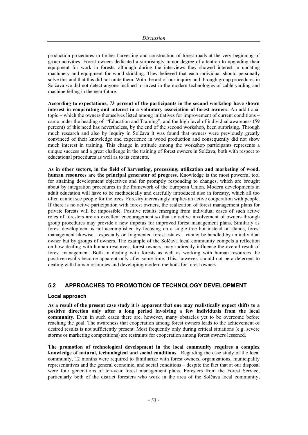production procedures in timber harvesting and construction of forest roads at the very beginning of group activities. Forest owners dedicated a surprisingly minor degree of attention to upgrading their equipment for work in forests, although during the interviews they showed interest in updating machinery and equipment for wood skidding. They believed that each individual should personally solve this and that this did not unite them. With the aid of our inquiry and through group procedures in Solčava we did not detect anyone inclined to invest in the modern technologies of cable yarding and machine felling in the near future.

**According to expectations, 73 percent of the participants in the second workshop have shown interest in cooperating and interest in a voluntary association of forest owners.** An additional topic – which the owners themselves listed among initiatives for improvement of current conditions – came under the heading of "Education and Training", and the high level of individual awareness (59 percent) of this need has nevertheless, by the end of the second workshop, been surprising. Through much research and also by inquiry in Solčava it was found that owners were previously greatly convinced of their knowledge and experience in wood production and consequently did not show much interest in training. This change in attitude among the workshop participants represents a unique success and a great challenge in the training of forest owners in Solčava, both with respect to educational procedures as well as to its contents.

**As in other sectors, in the field of harvesting, processing, utilization and marketing of wood, human resources are the principal generator of progress.** Knowledge is the most powerful tool for attaining development objectives and for promptly responding to changes, which are brought about by integration procedures in the framework of the European Union. Modern developments in adult education will have to be methodically and carefully introduced also in forestry, which all too often cannot see people for the trees. Forestry increasingly implies an active cooperation with people. If there is no active participation with forest owners, the realization of forest management plans for private forests will be impossible. Positive results emerging from individual cases of such active roles of foresters are an excellent encouragement so that an active involvement of owners through group procedures may provide a new impetus for improved forest management plans. Similarly as forest development is not accomplished by focusing on a single tree but instead on stands, forest management likewise – especially on fragmented forest estates – cannot be handled by an individual owner but by groups of owners. The example of the Solčava local community compels a reflection on how dealing with human resources, forest owners, may indirectly influence the overall result of forest management. Both in dealing with forests as well as working with human resources the positive results become apparent only after some time. This, however, should not be a deterrent to dealing with human resources and developing modern methods for forest owners.

# **5.2 APPROACHES TO PROMOTION OF TECHNOLOGY DEVELOPMENT**

#### **Local approach**

**As a result of the present case study it is apparent that one may realistically expect shifts to a positive direction only after a long period involving a few individuals from the local community.** Even in such cases there are, however, many obstacles yet to be overcome before reaching the goal. The awareness that cooperation among forest owners leads to the achievement of desired results is not sufficiently present. Most frequently only during critical situations (e.g. severe storms or marketing competitions) are restraints for cooperation among forest owners lessened.

**The promotion of technological development in the local community requires a complex knowledge of natural, technological and social conditions.** Regarding the case study of the local community, 12 months were required to familiarize with forest owners, organizations, municipality representatives and the general economic, and social conditions – despite the fact that at our disposal were four generations of ten-year forest management plans. Foresters from the Forest Service, particularly both of the district foresters who work in the area of the Solčava local community,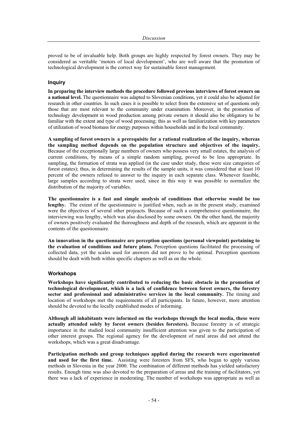proved to be of invaluable help. Both groups are highly respected by forest owners. They may be considered as veritable 'motors of local development', who are well aware that the promotion of technological development is the correct way for sustainable forest management.

#### **Inquiry**

**In preparing the interview methods the procedure followed previous interviews of forest owners on a national level.** The questionnaire was adapted to Slovenian conditions, yet it could also be adjusted for research in other countries. In such cases it is possible to select from the extensive set of questions only those that are most relevant to the community under examination. Moreover, in the promotion of technology development in wood production among private owners it should also be obligatory to be familiar with the extent and type of wood processing; this as well as familiarization with key parameters of utilization of wood biomass for energy purposes within households and in the local community.

**A sampling of forest owners is a prerequisite for a rational realization of the inquiry, whereas the sampling method depends on the population structure and objectives of the inquiry.**  Because of the exceptionally large numbers of owners who possess very small estates, the analysis of current conditions, by means of a simple random sampling, proved to be less appropriate. In sampling, the formation of strata was applied (in the case under study, these were size categories of forest estates); thus, in determining the results of the sample units, it was considered that at least 10 percent of the owners refused to answer to the inquiry in each separate class. Whenever feasible, large samples according to strata were used, since in this way it was possible to normalize the distribution of the majority of variables.

**The questionnaire is a fast and simple analysis of conditions that otherwise would be too**  lengthy. The extent of the questionnaire is justified when, such as in the present study, examined were the objectives of several other projeacts. Because of such a comprehensive questionnaire, the interviewing was lengthy, which was also disclosed by some owners. On the other hand, the majority of owners positively evaluated the thoroughness and depth of the research, which are apparent in the contents of the questionnaire.

**An innovation in the questionnaire are perception questions (personal viewpoint) pertaining to the evaluation of conditions and future plans.** Perception questions facilitated the processing of collected data, yet the scales used for answers did not prove to be optimal. Perception questions should be dealt with both within specific chapters as well as on the whole.

#### **Workshops**

**Workshops have significantly contributed to reducing the basic obstacle in the promotion of technological development, which is a lack of confidence between forest owners, the forestry sector and professional and administrative services in the local community.** The timing and location of workshops met the requirements of all participants. In future, however, more attention should be devoted to the locally established modes of informing.

**Although all inhabitants were informed on the workshops through the local media, these were actually attended solely by forest owners (besides foresters).** Because forestry is of strategic importance in the studied local community insufficient attention was given to the participation of other interest groups. The regional agency for the development of rural areas did not attend the workshops, which was a great disadvantage.

**Participation methods and group techniques applied during the research were experimented and used for the first time.** Assisting were foresters from SFS, who began to apply various methods in Slovenia in the year 2000. The combination of different methods has yielded satisfactory results. Enough time was also devoted to the preparation of areas and the training of facilitators, yet there was a lack of experience in moderating. The number of workshops was appropriate as well as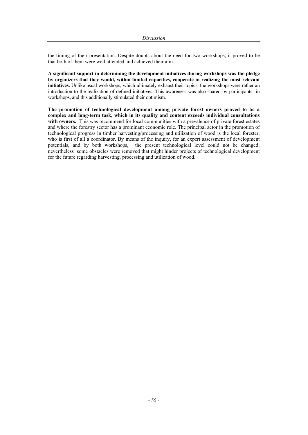the timing of their presentation. Despite doubts about the need for two workshops, it proved to be that both of them were well attended and achieved their aim.

**A significant support in determining the development initiatives during workshops was the pledge by organizers that they would, within limited capacities, cooperate in realizing the most relevant initiatives.** Unlike usual workshops, which ultimately exhaust their topics, the workshops were rather an introduction to the realization of defined initiatives. This awareness was also shared by participants in workshops, and this additionally stimulated their optimism.

**The promotion of technological development among private forest owners proved to be a complex and long-term task, which in its quality and content exceeds individual consultations with owners.** This was recommend for local communities with a prevalence of private forest estates and where the forestry sector has a prominant economic role. The principal actor in the promotion of technological progress in timber harvesting/processing and utilization of wood is the local forester, who is first of all a coordinator. By means of the inquiry, for an expert assessment of development potentials, and by both workshops, the present technological level could not be changed; nevertheless some obstacles were removed that might hinder projects of technological development for the future regarding harvesting, processing and utilization of wood.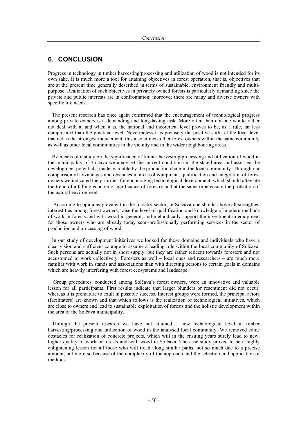# **6. CONCLUSION**

Progress in technology in timber harvesting/processing and utilization of wood is not intended for its own sake. It is much more a tool for attaining objectives in forest operation, that is, objectives that are at the present time generally described in terms of sustainable, environment friendly and multipurpose. Realization of such objectives in privately owned forests is particularly demanding since the private and public interests are in confrontation; moreover there are many and diverse owners with specific life needs.

The present research has once again confirmed that the encouragement of technological progress among private owners is a demanding and long-lasting task. More often than not one would rather not deal with it, and when it is, the national and theoretical level proves to be, as a rule, far less complicated than the practical level. Nevertheless it is precisely the positive shifts at the local level that act as the strongest inducement; this also attracts other forest owners within the same community as well as other local communities in the vicinity and in the wider neighbouring areas.

By means of a study on the significance of timber harvesting/processing and utilization of wood in the municipality of Solčava we analysed the current conditions in the stated area and assessed the development potentials, made available by the production chain in the local community. Through our comparison of advantages and obstacles in areas of equipment, qualification and integration of forest owners we indicated the priorities for encouraging technological development, which should alleviate the trend of a falling economic significance of forestry and at the same time ensure the protection of the natural environment.

According to opinions prevalent in the forestry sector, in Solčava one should above all strengthen interest ties among forest owners, raise the level of qualification and knowledge of modern methods of work in forests and with wood in general, and methodically support the investment in equipment for those owners who are already today semi-professionally performing services in the sector of production and processing of wood.

In our study of development initiatives we looked for those domains and individuals who have a clear vision and sufficient courage to assume a leading role within the local community of Solčava. Such persons are actually not in short supply, but they are rather reticent towards foresters and not accustomed to work collectively. Foresters as well – local ones and researchers – are much more familiar with work in stands and associations than with directing persons to certain goals in domains which are heavily interfering with forest ecosystems and landscape.

Group procedures, conducted among Solčava's forest owners, were an innovative and valuable lesson for all participants. First results indicate that larger blunders or resentment did not occur, whereas it is premature to exult in possible success. Interest groups were formed, the principal actors (facilitators) are known and that which follows is the realization of technological initiatives, which are close to owners and lead to sustainable exploitation of forests and the holistic development within the area of the Solčava municipality.

Through the present research we have not attained a new technological level in timber harvesting/processing and utilization of wood in the analysed local community. We removed some obstacles for realization of concrete projects, which will in the ensuing years surely lead to new, higher quality of work in forests and with wood in Solčava. The case study proved to be a highly enlightening lesson for all those who will tread along similar paths, not so much due to a precise amount, but more so because of the complexity of the approach and the selection and application of methods.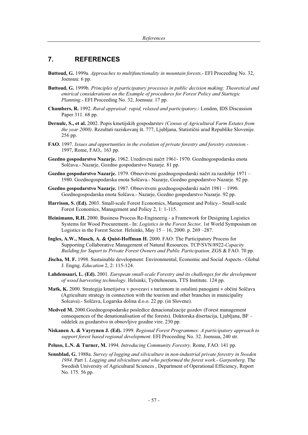# **7. REFERENCES**

- **Buttoud, G.** 1999a. *Approaches to multifunctionality in mountain forests*.- EFI Proceeding No. 32, Joensuu: 6 pp.
- **Buttoud, G.** 1999b*. Principles of participatory processes in public decision making: Theoretical and emirical considerations on the Example of procedures for Forest Policy and Startegic Planning.*- EFI Proceeding No. 32, Joensuu: 17 pp.
- **Chambers, R.** 1992. *Rural appraisal: rapid, relaxed and participatory*.- London, IDS Discussion Paper 311. 68 pp.
- **Dernulc, S., et al.** 2002. Popis kmetijskih gospodarstev *(Census of Agricultural Farm Estates from the year 2000)*. Rezultati raziskovanj št. 777, Ljubljana, Statistični urad Republike Slovenije. 256 pp.
- **FAO.** 1997. *Issues and opportunities in the evolution of private forestry and forestry extension.-* 1997, Rome, FAO,. 163 pp.
- Gozdno gospodarstvo Nazarje. 1962. Ureditveni načrt 1961- 1970. Gozdnogospodarska enota Solčava.- Nazarje, Gozdno gospodarstvo Nazarje. 81 pp.
- **Gozdno gospodarstvo Nazarje.** 1979. Obnovitveni gozdnogospodarski načrt za razdobje 1971 1980. Gozdnogospodarska enota Solčava.- Nazarje, Gozdno gospodarstvo Nazarje. 92 pp.
- Gozdno gospodarstvo Nazarje. 1987. Obnovitveni gozdnogospodarski načrt 1981 1990. Gozdnogospodarska enota Solčava.- Nazarje, Gozdno gospodarstvo Nazarje. 92 pp.
- **Harrison, S. (Ed).** 2003. Small-scale Forest Economics, Management and Policy.- Small-scale Forest Economics, Management and Policy 2, 1: 1-115.
- **Heinimann, R.H.** 2000. Business Process Re-Engineerig a Framework for Designing Logistics Systems for Wood Procurement.- In: *Logistics in the Forest Sector,* 1st World Symposium on Logistics in the Forest Sector. Helsinki, May  $15 - 16$ , 2000. p. 269 –287.
- **Ingles, A.W., Musch, A. & Quist-Hoffman H.** 2000. FAO: The Participatory Process for Supporting Collaborative Management of Natural Resources. TCP/SVN/8922-*Capacity Building for Suport to Private Forest Owners and Public Participation*. ZGS & FAO. 70 pp.
- **Jischa, M. F.** 1998. Sustainable development: Environmental, Economic and Social Aspects.- Global J. Engng. *Education* 2, 2: 115-124.
- **Lahdensaari, L. (Ed).** 2001. *European small-scale Forestry and its challenges for the development of wood harvesting technology*. Helsinki, Työtehoseura, TTS Institute. 124 pp.
- **Matk, K.** 2000. Strategija kmetijstva v povezavi s turizmom in ostalimi panogami v občini Solčava (Agriculture strategy in connection with the tourism and other branches in municipality Solcava).- Solčava, Logarska dolina d.o.o. 22 pp. (in Slovene).
- **Medved M.** 2000.Gozdnogospodarske posledice denacionalzacije gozdov (Forest management consequences of the denationalisation of the forests). Doktorska disertacija, Ljubljana,  $BF$ oddelek za gozdarstvo in obnovljive gozdne vire. 230 pp.
- **Niskanen A. & Vayrynen J. (Ed).** 1999. *Regional Forest Programmes: A participatory approach to support forest based regional development*. EFI Proceeding No. 32. Joensuu, 240 str.
- **Peluso, L.N. & Turner, M.** 1994. *Introducing Community Forestry.* Rome, FAO. 141 pp.
- **Sennblad, G.** 1988a. *Survey of logging and silviculture in non-industrial private forestry in Sweden 1984.* Part 1. *Logging and silviculture and who performed the forest work.- Garpenberg*. The Swedish University of Agricultural Sciences , Department of Operational Efficiency, Report No. 175. 56 pp.